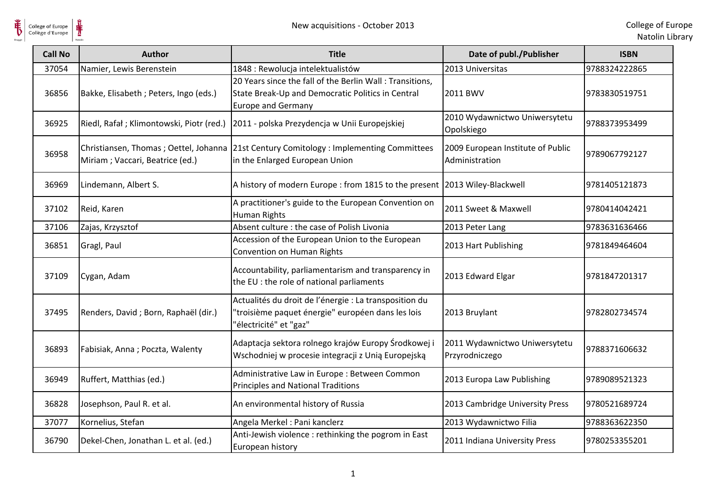

| <b>Call No</b> | Author                                   | <b>Title</b>                                                                                                                               | Date of publ./Publisher                             | <b>ISBN</b>   |
|----------------|------------------------------------------|--------------------------------------------------------------------------------------------------------------------------------------------|-----------------------------------------------------|---------------|
| 37054          | Namier, Lewis Berenstein                 | 1848 : Rewolucja intelektualistów                                                                                                          | 2013 Universitas                                    | 9788324222865 |
| 36856          | Bakke, Elisabeth ; Peters, Ingo (eds.)   | 20 Years since the fall of the Berlin Wall: Transitions,<br>State Break-Up and Democratic Politics in Central<br><b>Europe and Germany</b> | 2011 BWV                                            | 9783830519751 |
| 36925          | Riedl, Rafał; Klimontowski, Piotr (red.) | 2011 - polska Prezydencja w Unii Europejskiej                                                                                              | 2010 Wydawnictwo Uniwersytetu<br>Opolskiego         | 9788373953499 |
| 36958          | Miriam; Vaccari, Beatrice (ed.)          | Christiansen, Thomas; Oettel, Johanna 21st Century Comitology: Implementing Committees<br>in the Enlarged European Union                   | 2009 European Institute of Public<br>Administration | 9789067792127 |
| 36969          | Lindemann, Albert S.                     | A history of modern Europe : from 1815 to the present 2013 Wiley-Blackwell                                                                 |                                                     | 9781405121873 |
| 37102          | Reid, Karen                              | A practitioner's guide to the European Convention on<br><b>Human Rights</b>                                                                | 2011 Sweet & Maxwell                                | 9780414042421 |
| 37106          | Zajas, Krzysztof                         | Absent culture : the case of Polish Livonia                                                                                                | 2013 Peter Lang                                     | 9783631636466 |
| 36851          | Gragl, Paul                              | Accession of the European Union to the European<br>Convention on Human Rights                                                              | 2013 Hart Publishing                                | 9781849464604 |
| 37109          | Cygan, Adam                              | Accountability, parliamentarism and transparency in<br>the EU : the role of national parliaments                                           | 2013 Edward Elgar                                   | 9781847201317 |
| 37495          | Renders, David; Born, Raphaël (dir.)     | Actualités du droit de l'énergie : La transposition du<br>'troisième paquet énergie" européen dans les lois<br>'électricité" et "gaz"      | 2013 Bruylant                                       | 9782802734574 |
| 36893          | Fabisiak, Anna; Poczta, Walenty          | Adaptacja sektora rolnego krajów Europy Środkowej i<br>Wschodniej w procesie integracji z Unią Europejską                                  | 2011 Wydawnictwo Uniwersytetu<br>Przyrodniczego     | 9788371606632 |
| 36949          | Ruffert, Matthias (ed.)                  | Administrative Law in Europe: Between Common<br><b>Principles and National Traditions</b>                                                  | 2013 Europa Law Publishing                          | 9789089521323 |
| 36828          | Josephson, Paul R. et al.                | An environmental history of Russia                                                                                                         | 2013 Cambridge University Press                     | 9780521689724 |
| 37077          | Kornelius, Stefan                        | Angela Merkel : Pani kanclerz                                                                                                              | 2013 Wydawnictwo Filia                              | 9788363622350 |
| 36790          | Dekel-Chen, Jonathan L. et al. (ed.)     | Anti-Jewish violence: rethinking the pogrom in East<br>European history                                                                    | 2011 Indiana University Press                       | 9780253355201 |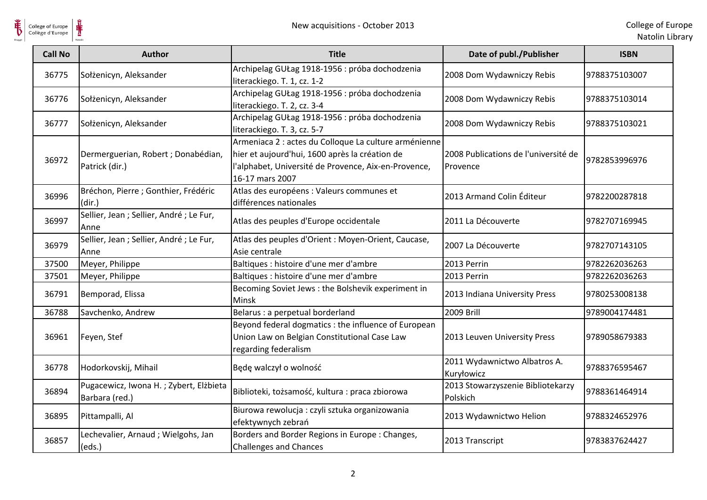

| <b>Call No</b> | <b>Author</b>                                            | <b>Title</b>                                                                                                                                                                       | Date of publ./Publisher                          | <b>ISBN</b>   |
|----------------|----------------------------------------------------------|------------------------------------------------------------------------------------------------------------------------------------------------------------------------------------|--------------------------------------------------|---------------|
| 36775          | Sołżenicyn, Aleksander                                   | Archipelag GUŁag 1918-1956 : próba dochodzenia<br>literackiego. T. 1, cz. 1-2                                                                                                      | 2008 Dom Wydawniczy Rebis                        | 9788375103007 |
| 36776          | Sołżenicyn, Aleksander                                   | Archipelag GUŁag 1918-1956 : próba dochodzenia<br>literackiego. T. 2, cz. 3-4                                                                                                      | 2008 Dom Wydawniczy Rebis                        | 9788375103014 |
| 36777          | Sołżenicyn, Aleksander                                   | Archipelag GUŁag 1918-1956 : próba dochodzenia<br>literackiego. T. 3, cz. 5-7                                                                                                      | 2008 Dom Wydawniczy Rebis                        | 9788375103021 |
| 36972          | Dermerguerian, Robert ; Donabédian,<br>Patrick (dir.)    | Armeniaca 2 : actes du Colloque La culture arménienne<br>hier et aujourd'hui, 1600 après la création de<br>l'alphabet, Université de Provence, Aix-en-Provence,<br>16-17 mars 2007 | 2008 Publications de l'université de<br>Provence | 9782853996976 |
| 36996          | Bréchon, Pierre ; Gonthier, Frédéric<br>(dir.)           | Atlas des européens : Valeurs communes et<br>différences nationales                                                                                                                | 2013 Armand Colin Éditeur                        | 9782200287818 |
| 36997          | Sellier, Jean ; Sellier, André ; Le Fur,<br>Anne         | Atlas des peuples d'Europe occidentale                                                                                                                                             | 2011 La Découverte                               | 9782707169945 |
| 36979          | Sellier, Jean ; Sellier, André ; Le Fur,<br>Anne         | Atlas des peuples d'Orient : Moyen-Orient, Caucase,<br>Asie centrale                                                                                                               | 2007 La Découverte                               | 9782707143105 |
| 37500          | Meyer, Philippe                                          | Baltiques : histoire d'une mer d'ambre                                                                                                                                             | 2013 Perrin                                      | 9782262036263 |
| 37501          | Meyer, Philippe                                          | Baltiques : histoire d'une mer d'ambre                                                                                                                                             | 2013 Perrin                                      | 9782262036263 |
| 36791          | Bemporad, Elissa                                         | Becoming Soviet Jews : the Bolshevik experiment in<br>Minsk                                                                                                                        | 2013 Indiana University Press                    | 9780253008138 |
| 36788          | Savchenko, Andrew                                        | Belarus : a perpetual borderland                                                                                                                                                   | <b>2009 Brill</b>                                | 9789004174481 |
| 36961          | Feyen, Stef                                              | Beyond federal dogmatics : the influence of European<br>Union Law on Belgian Constitutional Case Law<br>regarding federalism                                                       | 2013 Leuven University Press                     | 9789058679383 |
| 36778          | Hodorkovskij, Mihail                                     | Będę walczył o wolność                                                                                                                                                             | 2011 Wydawnictwo Albatros A.<br>Kuryłowicz       | 9788376595467 |
| 36894          | Pugacewicz, Iwona H.; Zybert, Elżbieta<br>Barbara (red.) | Biblioteki, tożsamość, kultura : praca zbiorowa                                                                                                                                    | 2013 Stowarzyszenie Bibliotekarzy<br>Polskich    | 9788361464914 |
| 36895          | Pittampalli, Al                                          | Biurowa rewolucja : czyli sztuka organizowania<br>efektywnych zebrań                                                                                                               | 2013 Wydawnictwo Helion                          | 9788324652976 |
| 36857          | Lechevalier, Arnaud ; Wielgohs, Jan<br>(eds.)            | Borders and Border Regions in Europe: Changes,<br><b>Challenges and Chances</b>                                                                                                    | 2013 Transcript                                  | 9783837624427 |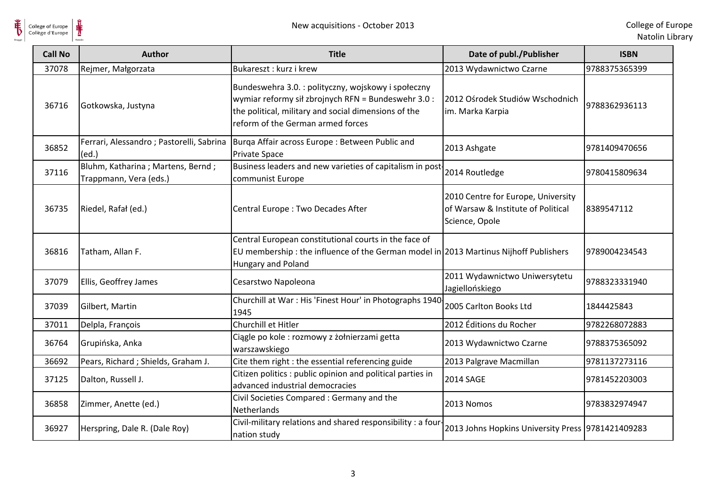

| <b>Call No</b> | <b>Author</b>                                                | <b>Title</b>                                                                                                                                                                                            | Date of publ./Publisher                                                                    | <b>ISBN</b>   |
|----------------|--------------------------------------------------------------|---------------------------------------------------------------------------------------------------------------------------------------------------------------------------------------------------------|--------------------------------------------------------------------------------------------|---------------|
| 37078          | Rejmer, Małgorzata                                           | Bukareszt: kurz i krew                                                                                                                                                                                  | 2013 Wydawnictwo Czarne                                                                    | 9788375365399 |
| 36716          | Gotkowska, Justyna                                           | Bundeswehra 3.0. : polityczny, wojskowy i społeczny<br>wymiar reformy sił zbrojnych RFN = Bundeswehr 3.0 :<br>the political, military and social dimensions of the<br>reform of the German armed forces | 2012 Ośrodek Studiów Wschodnich<br>im. Marka Karpia                                        | 9788362936113 |
| 36852          | Ferrari, Alessandro; Pastorelli, Sabrina<br>(ed.)            | Burga Affair across Europe: Between Public and<br><b>Private Space</b>                                                                                                                                  | 2013 Ashgate                                                                               | 9781409470656 |
| 37116          | Bluhm, Katharina ; Martens, Bernd;<br>Trappmann, Vera (eds.) | Business leaders and new varieties of capitalism in post-<br>communist Europe                                                                                                                           | 2014 Routledge                                                                             | 9780415809634 |
| 36735          | Riedel, Rafał (ed.)                                          | Central Europe : Two Decades After                                                                                                                                                                      | 2010 Centre for Europe, University<br>of Warsaw & Institute of Political<br>Science, Opole | 8389547112    |
| 36816          | Tatham, Allan F.                                             | Central European constitutional courts in the face of<br>EU membership : the influence of the German model in 2013 Martinus Nijhoff Publishers<br>Hungary and Poland                                    |                                                                                            | 9789004234543 |
| 37079          | Ellis, Geoffrey James                                        | Cesarstwo Napoleona                                                                                                                                                                                     | 2011 Wydawnictwo Uniwersytetu<br>Jagiellońskiego                                           | 9788323331940 |
| 37039          | Gilbert, Martin                                              | Churchill at War : His 'Finest Hour' in Photographs 1940-<br>1945                                                                                                                                       | 2005 Carlton Books Ltd                                                                     | 1844425843    |
| 37011          | Delpla, François                                             | Churchill et Hitler                                                                                                                                                                                     | 2012 Éditions du Rocher                                                                    | 9782268072883 |
| 36764          | Grupińska, Anka                                              | Ciągle po kole: rozmowy z żołnierzami getta<br>warszawskiego                                                                                                                                            | 2013 Wydawnictwo Czarne                                                                    | 9788375365092 |
| 36692          | Pears, Richard; Shields, Graham J.                           | Cite them right : the essential referencing guide                                                                                                                                                       | 2013 Palgrave Macmillan                                                                    | 9781137273116 |
| 37125          | Dalton, Russell J.                                           | Citizen politics : public opinion and political parties in<br>advanced industrial democracies                                                                                                           | <b>2014 SAGE</b>                                                                           | 9781452203003 |
| 36858          | Zimmer, Anette (ed.)                                         | Civil Societies Compared: Germany and the<br><b>Netherlands</b>                                                                                                                                         | 2013 Nomos                                                                                 | 9783832974947 |
| 36927          | Herspring, Dale R. (Dale Roy)                                | Civil-military relations and shared responsibility : a four-<br>nation study                                                                                                                            | 2013 Johns Hopkins University Press 9781421409283                                          |               |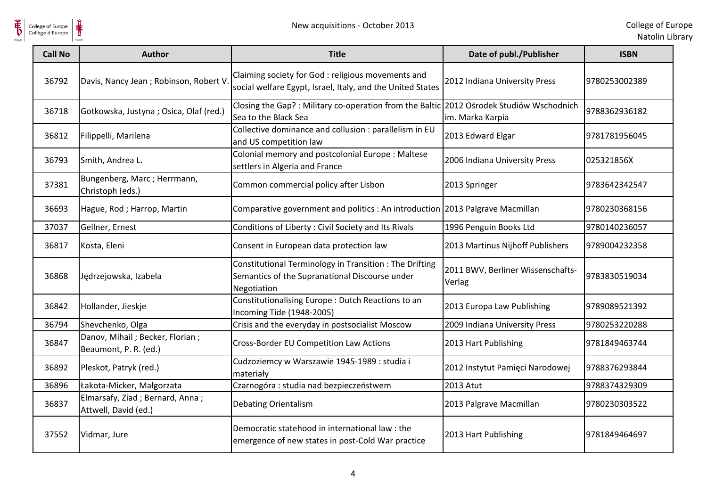

| <b>Call No</b> | <b>Author</b>                                            | <b>Title</b>                                                                                                             | Date of publ./Publisher                     | <b>ISBN</b>   |
|----------------|----------------------------------------------------------|--------------------------------------------------------------------------------------------------------------------------|---------------------------------------------|---------------|
| 36792          | Davis, Nancy Jean; Robinson, Robert V                    | Claiming society for God : religious movements and<br>social welfare Egypt, Israel, Italy, and the United States         | 2012 Indiana University Press               | 9780253002389 |
| 36718          | Gotkowska, Justyna; Osica, Olaf (red.)                   | Closing the Gap?: Military co-operation from the Baltic 2012 Ośrodek Studiów Wschodnich<br>Sea to the Black Sea          | im. Marka Karpia                            | 9788362936182 |
| 36812          | Filippelli, Marilena                                     | Collective dominance and collusion : parallelism in EU<br>and US competition law                                         | 2013 Edward Elgar                           | 9781781956045 |
| 36793          | Smith, Andrea L.                                         | Colonial memory and postcolonial Europe: Maltese<br>settlers in Algeria and France                                       | 2006 Indiana University Press               | 025321856X    |
| 37381          | Bungenberg, Marc; Herrmann,<br>Christoph (eds.)          | Common commercial policy after Lisbon                                                                                    | 2013 Springer                               | 9783642342547 |
| 36693          | Hague, Rod; Harrop, Martin                               | Comparative government and politics : An introduction 2013 Palgrave Macmillan                                            |                                             | 9780230368156 |
| 37037          | Gellner, Ernest                                          | Conditions of Liberty: Civil Society and Its Rivals                                                                      | 1996 Penguin Books Ltd                      | 9780140236057 |
| 36817          | Kosta, Eleni                                             | Consent in European data protection law                                                                                  | 2013 Martinus Nijhoff Publishers            | 9789004232358 |
| 36868          | Jędrzejowska, Izabela                                    | Constitutional Terminology in Transition : The Drifting<br>Semantics of the Supranational Discourse under<br>Negotiation | 2011 BWV, Berliner Wissenschafts-<br>Verlag | 9783830519034 |
| 36842          | Hollander, Jieskje                                       | Constitutionalising Europe : Dutch Reactions to an<br>Incoming Tide (1948-2005)                                          | 2013 Europa Law Publishing                  | 9789089521392 |
| 36794          | Shevchenko, Olga                                         | Crisis and the everyday in postsocialist Moscow                                                                          | 2009 Indiana University Press               | 9780253220288 |
| 36847          | Danov, Mihail; Becker, Florian;<br>Beaumont, P. R. (ed.) | Cross-Border EU Competition Law Actions                                                                                  | 2013 Hart Publishing                        | 9781849463744 |
| 36892          | Pleskot, Patryk (red.)                                   | Cudzoziemcy w Warszawie 1945-1989 : studia i<br>materiały                                                                | 2012 Instytut Pamięci Narodowej             | 9788376293844 |
| 36896          | Łakota-Micker, Małgorzata                                | Czarnogóra : studia nad bezpieczeństwem                                                                                  | 2013 Atut                                   | 9788374329309 |
| 36837          | Elmarsafy, Ziad; Bernard, Anna;<br>Attwell, David (ed.)  | Debating Orientalism                                                                                                     | 2013 Palgrave Macmillan                     | 9780230303522 |
| 37552          | Vidmar, Jure                                             | Democratic statehood in international law: the<br>emergence of new states in post-Cold War practice                      | 2013 Hart Publishing                        | 9781849464697 |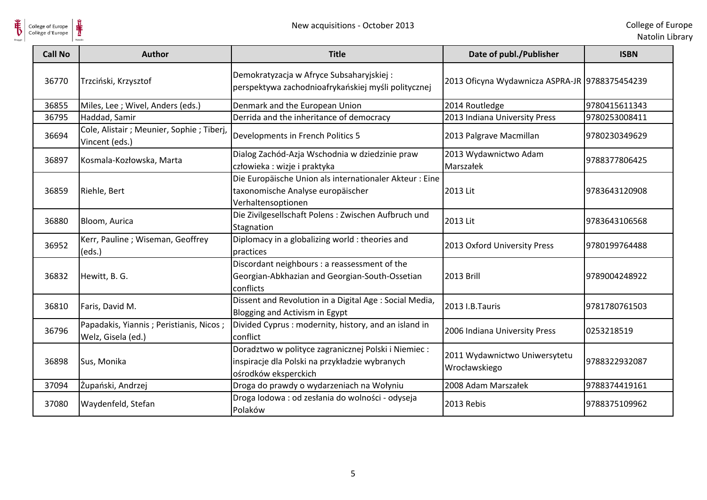

| <b>Call No</b> | Author                                                        | <b>Title</b>                                                                                                                   | Date of publ./Publisher                        | <b>ISBN</b>   |
|----------------|---------------------------------------------------------------|--------------------------------------------------------------------------------------------------------------------------------|------------------------------------------------|---------------|
| 36770          | Trzciński, Krzysztof                                          | Demokratyzacja w Afryce Subsaharyjskiej:<br>perspektywa zachodnioafrykańskiej myśli politycznej                                | 2013 Oficyna Wydawnicza ASPRA-JR 9788375454239 |               |
| 36855          | Miles, Lee ; Wivel, Anders (eds.)                             | Denmark and the European Union                                                                                                 | 2014 Routledge                                 | 9780415611343 |
| 36795          | Haddad, Samir                                                 | Derrida and the inheritance of democracy                                                                                       | 2013 Indiana University Press                  | 9780253008411 |
| 36694          | Cole, Alistair ; Meunier, Sophie ; Tiberj,<br>Vincent (eds.)  | Developments in French Politics 5                                                                                              | 2013 Palgrave Macmillan                        | 9780230349629 |
| 36897          | Kosmala-Kozłowska, Marta                                      | Dialog Zachód-Azja Wschodnia w dziedzinie praw<br>człowieka : wizje i praktyka                                                 | 2013 Wydawnictwo Adam<br>Marszałek             | 9788377806425 |
| 36859          | Riehle, Bert                                                  | Die Europäische Union als internationaler Akteur: Eine<br>taxonomische Analyse europäischer<br>Verhaltensoptionen              | 2013 Lit                                       | 9783643120908 |
| 36880          | Bloom, Aurica                                                 | Die Zivilgesellschaft Polens: Zwischen Aufbruch und<br>Stagnation                                                              | 2013 Lit                                       | 9783643106568 |
| 36952          | Kerr, Pauline; Wiseman, Geoffrey<br>(eds.)                    | Diplomacy in a globalizing world : theories and<br>practices                                                                   | 2013 Oxford University Press                   | 9780199764488 |
| 36832          | Hewitt, B. G.                                                 | Discordant neighbours : a reassessment of the<br>Georgian-Abkhazian and Georgian-South-Ossetian<br>conflicts                   | <b>2013 Brill</b>                              | 9789004248922 |
| 36810          | Faris, David M.                                               | Dissent and Revolution in a Digital Age : Social Media,<br>Blogging and Activism in Egypt                                      | 2013 I.B.Tauris                                | 9781780761503 |
| 36796          | Papadakis, Yiannis; Peristianis, Nicos;<br>Welz, Gisela (ed.) | Divided Cyprus: modernity, history, and an island in<br>conflict                                                               | 2006 Indiana University Press                  | 0253218519    |
| 36898          | Sus, Monika                                                   | Doradztwo w polityce zagranicznej Polski i Niemiec :<br>inspiracje dla Polski na przykładzie wybranych<br>ośrodków eksperckich | 2011 Wydawnictwo Uniwersytetu<br>Wrocławskiego | 9788322932087 |
| 37094          | Żupański, Andrzej                                             | Droga do prawdy o wydarzeniach na Wołyniu                                                                                      | 2008 Adam Marszałek                            | 9788374419161 |
| 37080          | Waydenfeld, Stefan                                            | Droga lodowa : od zesłania do wolności - odyseja<br>Polaków                                                                    | 2013 Rebis                                     | 9788375109962 |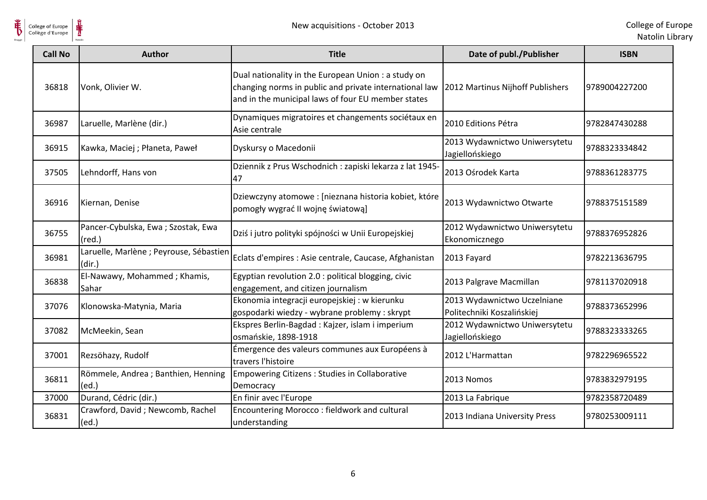

| <b>Call No</b> | <b>Author</b>                                         | <b>Title</b>                                                                                                                                                        | Date of publ./Publisher                                   | <b>ISBN</b>   |
|----------------|-------------------------------------------------------|---------------------------------------------------------------------------------------------------------------------------------------------------------------------|-----------------------------------------------------------|---------------|
| 36818          | Vonk, Olivier W.                                      | Dual nationality in the European Union : a study on<br>changing norms in public and private international law<br>and in the municipal laws of four EU member states | 2012 Martinus Nijhoff Publishers                          | 9789004227200 |
| 36987          | Laruelle, Marlène (dir.)                              | Dynamiques migratoires et changements sociétaux en<br>Asie centrale                                                                                                 | 2010 Editions Pétra                                       | 9782847430288 |
| 36915          | Kawka, Maciej ; Płaneta, Paweł                        | Dyskursy o Macedonii                                                                                                                                                | 2013 Wydawnictwo Uniwersytetu<br>Jagiellońskiego          | 9788323334842 |
| 37505          | Lehndorff, Hans von                                   | Dziennik z Prus Wschodnich : zapiski lekarza z lat 1945-<br>47                                                                                                      | 2013 Ośrodek Karta                                        | 9788361283775 |
| 36916          | Kiernan, Denise                                       | Dziewczyny atomowe : [nieznana historia kobiet, które<br>pomogły wygrać II wojnę światową]                                                                          | 2013 Wydawnictwo Otwarte                                  | 9788375151589 |
| 36755          | Pancer-Cybulska, Ewa; Szostak, Ewa<br>$(\text{red.})$ | Dziś i jutro polityki spójności w Unii Europejskiej                                                                                                                 | 2012 Wydawnictwo Uniwersytetu<br>Ekonomicznego            | 9788376952826 |
| 36981          | Laruelle, Marlène ; Peyrouse, Sébastien<br>(dir.)     | Eclats d'empires : Asie centrale, Caucase, Afghanistan                                                                                                              | 2013 Fayard                                               | 9782213636795 |
| 36838          | El-Nawawy, Mohammed; Khamis,<br>Sahar                 | Egyptian revolution 2.0 : political blogging, civic<br>engagement, and citizen journalism                                                                           | 2013 Palgrave Macmillan                                   | 9781137020918 |
| 37076          | Klonowska-Matynia, Maria                              | Ekonomia integracji europejskiej : w kierunku<br>gospodarki wiedzy - wybrane problemy : skrypt                                                                      | 2013 Wydawnictwo Uczelniane<br>Politechniki Koszalińskiej | 9788373652996 |
| 37082          | McMeekin, Sean                                        | Ekspres Berlin-Bagdad : Kajzer, islam i imperium<br>osmańskie, 1898-1918                                                                                            | 2012 Wydawnictwo Uniwersytetu<br>Jagiellońskiego          | 9788323333265 |
| 37001          | Rezsöhazy, Rudolf                                     | Émergence des valeurs communes aux Européens à<br>travers l'histoire                                                                                                | 2012 L'Harmattan                                          | 9782296965522 |
| 36811          | Römmele, Andrea ; Banthien, Henning<br>(ed.)          | <b>Empowering Citizens: Studies in Collaborative</b><br>Democracy                                                                                                   | 2013 Nomos                                                | 9783832979195 |
| 37000          | Durand, Cédric (dir.)                                 | En finir avec l'Europe                                                                                                                                              | 2013 La Fabrique                                          | 9782358720489 |
| 36831          | Crawford, David; Newcomb, Rachel<br>(ed.)             | Encountering Morocco : fieldwork and cultural<br>understanding                                                                                                      | 2013 Indiana University Press                             | 9780253009111 |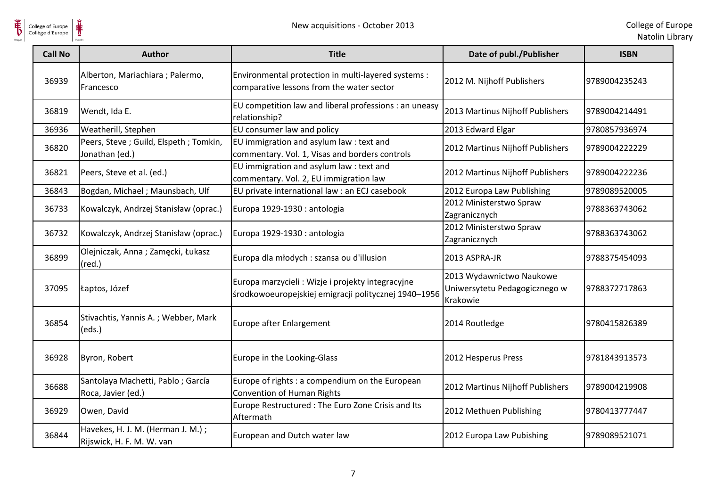$\frac{1}{\frac{1}{\sqrt{2}}}}$ 

| <b>Call No</b> | Author                                                         | <b>Title</b>                                                                                              | Date of publ./Publisher                                               | <b>ISBN</b>   |
|----------------|----------------------------------------------------------------|-----------------------------------------------------------------------------------------------------------|-----------------------------------------------------------------------|---------------|
| 36939          | Alberton, Mariachiara ; Palermo,<br>Francesco                  | Environmental protection in multi-layered systems :<br>comparative lessons from the water sector          | 2012 M. Nijhoff Publishers                                            | 9789004235243 |
| 36819          | Wendt, Ida E.                                                  | EU competition law and liberal professions : an uneasy<br>relationship?                                   | 2013 Martinus Nijhoff Publishers                                      | 9789004214491 |
| 36936          | Weatherill, Stephen                                            | EU consumer law and policy                                                                                | 2013 Edward Elgar                                                     | 9780857936974 |
| 36820          | Peers, Steve; Guild, Elspeth; Tomkin,<br>Jonathan (ed.)        | EU immigration and asylum law : text and<br>commentary. Vol. 1, Visas and borders controls                | 2012 Martinus Nijhoff Publishers                                      | 9789004222229 |
| 36821          | Peers, Steve et al. (ed.)                                      | EU immigration and asylum law : text and<br>commentary. Vol. 2, EU immigration law                        | 2012 Martinus Nijhoff Publishers                                      | 9789004222236 |
| 36843          | Bogdan, Michael; Maunsbach, Ulf                                | EU private international law : an ECJ casebook                                                            | 2012 Europa Law Publishing                                            | 9789089520005 |
| 36733          | Kowalczyk, Andrzej Stanisław (oprac.)                          | Europa 1929-1930 : antologia                                                                              | 2012 Ministerstwo Spraw<br>Zagranicznych                              | 9788363743062 |
| 36732          | Kowalczyk, Andrzej Stanisław (oprac.)                          | Europa 1929-1930 : antologia                                                                              | 2012 Ministerstwo Spraw<br>Zagranicznych                              | 9788363743062 |
| 36899          | Olejniczak, Anna; Zamęcki, Łukasz<br>$(\text{red.})$           | Europa dla młodych : szansa ou d'illusion                                                                 | 2013 ASPRA-JR                                                         | 9788375454093 |
| 37095          | Łaptos, Józef                                                  | Europa marzycieli : Wizje i projekty integracyjne<br>środkowoeuropejskiej emigracji politycznej 1940-1956 | 2013 Wydawnictwo Naukowe<br>Uniwersytetu Pedagogicznego w<br>Krakowie | 9788372717863 |
| 36854          | Stivachtis, Yannis A.; Webber, Mark<br>(eds.)                  | <b>Europe after Enlargement</b>                                                                           | 2014 Routledge                                                        | 9780415826389 |
| 36928          | Byron, Robert                                                  | Europe in the Looking-Glass                                                                               | 2012 Hesperus Press                                                   | 9781843913573 |
| 36688          | Santolaya Machetti, Pablo; García<br>Roca, Javier (ed.)        | Europe of rights : a compendium on the European<br><b>Convention of Human Rights</b>                      | 2012 Martinus Nijhoff Publishers                                      | 9789004219908 |
| 36929          | Owen, David                                                    | Europe Restructured : The Euro Zone Crisis and Its<br>Aftermath                                           | 2012 Methuen Publishing                                               | 9780413777447 |
| 36844          | Havekes, H. J. M. (Herman J. M.);<br>Rijswick, H. F. M. W. van | European and Dutch water law                                                                              | 2012 Europa Law Pubishing                                             | 9789089521071 |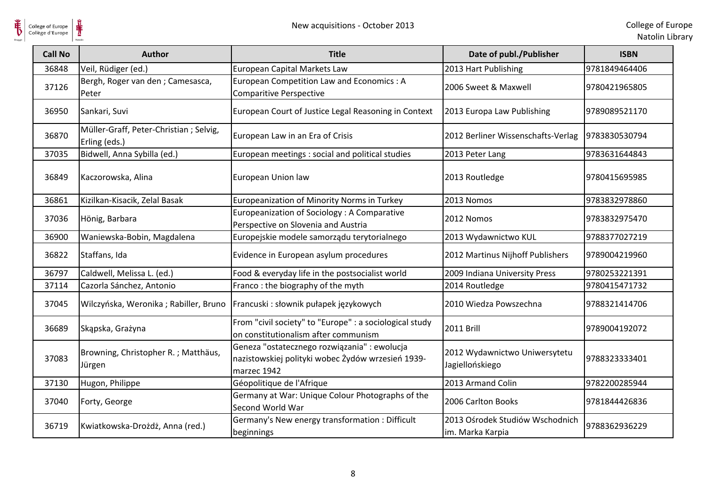

| <b>Call No</b> | <b>Author</b>                                           | <b>Title</b>                                                                                                     | Date of publ./Publisher                             | <b>ISBN</b>   |
|----------------|---------------------------------------------------------|------------------------------------------------------------------------------------------------------------------|-----------------------------------------------------|---------------|
| 36848          | Veil, Rüdiger (ed.)                                     | European Capital Markets Law                                                                                     | 2013 Hart Publishing                                | 9781849464406 |
| 37126          | Bergh, Roger van den ; Camesasca,<br>Peter              | European Competition Law and Economics: A<br>Comparitive Perspective                                             | 2006 Sweet & Maxwell                                | 9780421965805 |
| 36950          | Sankari, Suvi                                           | European Court of Justice Legal Reasoning in Context                                                             | 2013 Europa Law Publishing                          | 9789089521170 |
| 36870          | Müller-Graff, Peter-Christian; Selvig,<br>Erling (eds.) | European Law in an Era of Crisis                                                                                 | 2012 Berliner Wissenschafts-Verlag                  | 9783830530794 |
| 37035          | Bidwell, Anna Sybilla (ed.)                             | European meetings : social and political studies                                                                 | 2013 Peter Lang                                     | 9783631644843 |
| 36849          | Kaczorowska, Alina                                      | European Union law                                                                                               | 2013 Routledge                                      | 9780415695985 |
| 36861          | Kizilkan-Kisacik, Zelal Basak                           | Europeanization of Minority Norms in Turkey                                                                      | 2013 Nomos                                          | 9783832978860 |
| 37036          | Hönig, Barbara                                          | Europeanization of Sociology: A Comparative<br>Perspective on Slovenia and Austria                               | 2012 Nomos                                          | 9783832975470 |
| 36900          | Waniewska-Bobin, Magdalena                              | Europejskie modele samorządu terytorialnego                                                                      | 2013 Wydawnictwo KUL                                | 9788377027219 |
| 36822          | Staffans, Ida                                           | Evidence in European asylum procedures                                                                           | 2012 Martinus Nijhoff Publishers                    | 9789004219960 |
| 36797          | Caldwell, Melissa L. (ed.)                              | Food & everyday life in the postsocialist world                                                                  | 2009 Indiana University Press                       | 9780253221391 |
| 37114          | Cazorla Sánchez, Antonio                                | Franco: the biography of the myth                                                                                | 2014 Routledge                                      | 9780415471732 |
| 37045          |                                                         | Wilczyńska, Weronika; Rabiller, Bruno   Francuski: słownik pułapek językowych                                    | 2010 Wiedza Powszechna                              | 9788321414706 |
| 36689          | Skąpska, Grażyna                                        | From "civil society" to "Europe" : a sociological study<br>on constitutionalism after communism                  | <b>2011 Brill</b>                                   | 9789004192072 |
| 37083          | Browning, Christopher R.; Matthäus,<br>Jürgen           | Geneza "ostatecznego rozwiązania" : ewolucja<br>nazistowskiej polityki wobec Żydów wrzesień 1939-<br>marzec 1942 | 2012 Wydawnictwo Uniwersytetu<br>Jagiellońskiego    | 9788323333401 |
| 37130          | Hugon, Philippe                                         | Géopolitique de l'Afrique                                                                                        | 2013 Armand Colin                                   | 9782200285944 |
| 37040          | Forty, George                                           | Germany at War: Unique Colour Photographs of the<br>Second World War                                             | 2006 Carlton Books                                  | 9781844426836 |
| 36719          | Kwiatkowska-Drożdż, Anna (red.)                         | Germany's New energy transformation : Difficult<br>beginnings                                                    | 2013 Ośrodek Studiów Wschodnich<br>im. Marka Karpia | 9788362936229 |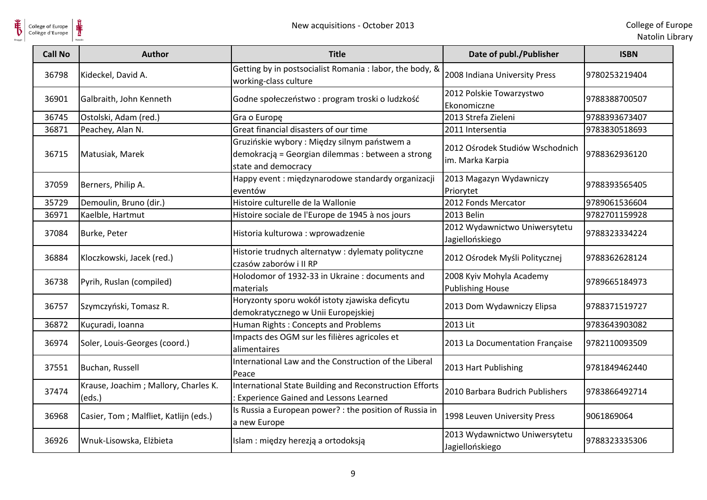

| <b>Call No</b> | <b>Author</b>                                  | <b>Title</b>                                                                                                             | Date of publ./Publisher                             | <b>ISBN</b>   |
|----------------|------------------------------------------------|--------------------------------------------------------------------------------------------------------------------------|-----------------------------------------------------|---------------|
| 36798          | Kideckel, David A.                             | Getting by in postsocialist Romania : labor, the body, &<br>working-class culture                                        | 2008 Indiana University Press                       | 9780253219404 |
| 36901          | Galbraith, John Kenneth                        | Godne społeczeństwo : program troski o ludzkość                                                                          | 2012 Polskie Towarzystwo<br>Ekonomiczne             | 9788388700507 |
| 36745          | Ostolski, Adam (red.)                          | Gra o Europę                                                                                                             | 2013 Strefa Zieleni                                 | 9788393673407 |
| 36871          | Peachey, Alan N.                               | Great financial disasters of our time                                                                                    | 2011 Intersentia                                    | 9783830518693 |
| 36715          | Matusiak, Marek                                | Gruzińskie wybory : Między silnym państwem a<br>demokracją = Georgian dilemmas : between a strong<br>state and democracy | 2012 Ośrodek Studiów Wschodnich<br>im. Marka Karpia | 9788362936120 |
| 37059          | Berners, Philip A.                             | Happy event : międzynarodowe standardy organizacji<br>eventów                                                            | 2013 Magazyn Wydawniczy<br>Priorytet                | 9788393565405 |
| 35729          | Demoulin, Bruno (dir.)                         | Histoire culturelle de la Wallonie                                                                                       | 2012 Fonds Mercator                                 | 9789061536604 |
| 36971          | Kaelble, Hartmut                               | Histoire sociale de l'Europe de 1945 à nos jours                                                                         | 2013 Belin                                          | 9782701159928 |
| 37084          | Burke, Peter                                   | Historia kulturowa: wprowadzenie                                                                                         | 2012 Wydawnictwo Uniwersytetu<br>Jagiellońskiego    | 9788323334224 |
| 36884          | Kloczkowski, Jacek (red.)                      | Historie trudnych alternatyw : dylematy polityczne<br>czasów zaborów i II RP                                             | 2012 Ośrodek Myśli Politycznej                      | 9788362628124 |
| 36738          | Pyrih, Ruslan (compiled)                       | Holodomor of 1932-33 in Ukraine: documents and<br>materials                                                              | 2008 Kyiv Mohyla Academy<br><b>Publishing House</b> | 9789665184973 |
| 36757          | Szymczyński, Tomasz R.                         | Horyzonty sporu wokół istoty zjawiska deficytu<br>demokratycznego w Unii Europejskiej                                    | 2013 Dom Wydawniczy Elipsa                          | 9788371519727 |
| 36872          | Kuçuradi, Ioanna                               | Human Rights: Concepts and Problems                                                                                      | 2013 Lit                                            | 9783643903082 |
| 36974          | Soler, Louis-Georges (coord.)                  | Impacts des OGM sur les filières agricoles et<br>alimentaires                                                            | 2013 La Documentation Française                     | 9782110093509 |
| 37551          | Buchan, Russell                                | International Law and the Construction of the Liberal<br>Peace                                                           | 2013 Hart Publishing                                | 9781849462440 |
| 37474          | Krause, Joachim; Mallory, Charles K.<br>(eds.) | International State Building and Reconstruction Efforts<br>: Experience Gained and Lessons Learned                       | 2010 Barbara Budrich Publishers                     | 9783866492714 |
| 36968          | Casier, Tom; Malfliet, Katlijn (eds.)          | Is Russia a European power? : the position of Russia in<br>a new Europe                                                  | 1998 Leuven University Press                        | 9061869064    |
| 36926          | Wnuk-Lisowska, Elżbieta                        | Islam : między herezją a ortodoksją                                                                                      | 2013 Wydawnictwo Uniwersytetu<br>Jagiellońskiego    | 9788323335306 |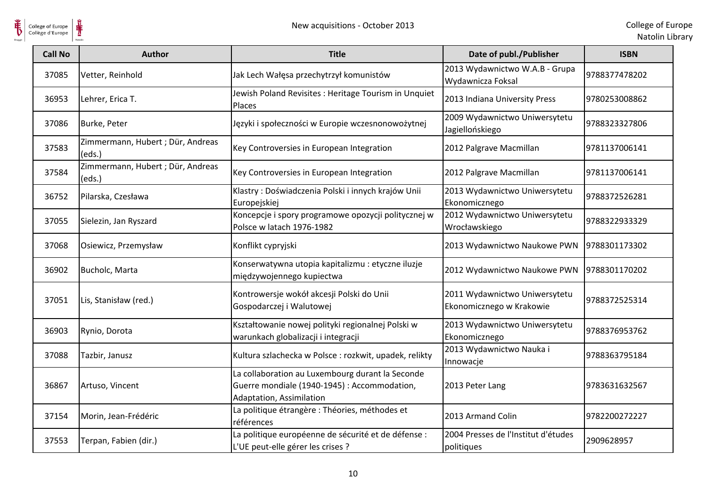

| <b>Call No</b> | <b>Author</b>                               | <b>Title</b>                                                                                                                 | Date of publ./Publisher                                   | <b>ISBN</b>   |
|----------------|---------------------------------------------|------------------------------------------------------------------------------------------------------------------------------|-----------------------------------------------------------|---------------|
| 37085          | Vetter, Reinhold                            | Jak Lech Wałęsa przechytrzył komunistów                                                                                      | 2013 Wydawnictwo W.A.B - Grupa<br>Wydawnicza Foksal       | 9788377478202 |
| 36953          | Lehrer, Erica T.                            | Jewish Poland Revisites: Heritage Tourism in Unquiet<br>Places                                                               | 2013 Indiana University Press                             | 9780253008862 |
| 37086          | Burke, Peter                                | Języki i społeczności w Europie wczesnonowożytnej                                                                            | 2009 Wydawnictwo Uniwersytetu<br>Jagiellońskiego          | 9788323327806 |
| 37583          | Zimmermann, Hubert ; Dür, Andreas<br>(eds.) | Key Controversies in European Integration                                                                                    | 2012 Palgrave Macmillan                                   | 9781137006141 |
| 37584          | Zimmermann, Hubert ; Dür, Andreas<br>(eds.) | Key Controversies in European Integration                                                                                    | 2012 Palgrave Macmillan                                   | 9781137006141 |
| 36752          | Pilarska, Czesława                          | Klastry: Doświadczenia Polski i innych krajów Unii<br>Europejskiej                                                           | 2013 Wydawnictwo Uniwersytetu<br>Ekonomicznego            | 9788372526281 |
| 37055          | Sielezin, Jan Ryszard                       | Koncepcje i spory programowe opozycji politycznej w<br>Polsce w latach 1976-1982                                             | 2012 Wydawnictwo Uniwersytetu<br>Wrocławskiego            | 9788322933329 |
| 37068          | Osiewicz, Przemysław                        | Konflikt cypryjski                                                                                                           | 2013 Wydawnictwo Naukowe PWN                              | 9788301173302 |
| 36902          | Bucholc, Marta                              | Konserwatywna utopia kapitalizmu : etyczne iluzje<br>międzywojennego kupiectwa                                               | 2012 Wydawnictwo Naukowe PWN                              | 9788301170202 |
| 37051          | Lis, Stanisław (red.)                       | Kontrowersje wokół akcesji Polski do Unii<br>Gospodarczej i Walutowej                                                        | 2011 Wydawnictwo Uniwersytetu<br>Ekonomicznego w Krakowie | 9788372525314 |
| 36903          | Rynio, Dorota                               | Kształtowanie nowej polityki regionalnej Polski w<br>warunkach globalizacji i integracji                                     | 2013 Wydawnictwo Uniwersytetu<br>Ekonomicznego            | 9788376953762 |
| 37088          | Tazbir, Janusz                              | Kultura szlachecka w Polsce : rozkwit, upadek, relikty                                                                       | 2013 Wydawnictwo Nauka i<br>Innowacje                     | 9788363795184 |
| 36867          | Artuso, Vincent                             | La collaboration au Luxembourg durant la Seconde<br>Guerre mondiale (1940-1945) : Accommodation,<br>Adaptation, Assimilation | 2013 Peter Lang                                           | 9783631632567 |
| 37154          | Morin, Jean-Frédéric                        | La politique étrangère : Théories, méthodes et<br>références                                                                 | 2013 Armand Colin                                         | 9782200272227 |
| 37553          | Terpan, Fabien (dir.)                       | La politique européenne de sécurité et de défense :<br>L'UE peut-elle gérer les crises ?                                     | 2004 Presses de l'Institut d'études<br>politiques         | 2909628957    |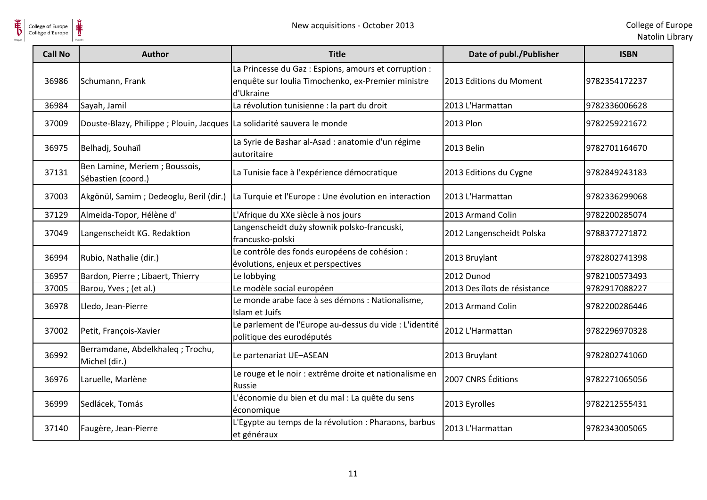

| <b>Call No</b> | <b>Author</b>                                                           | <b>Title</b>                                                                                                             | Date of publ./Publisher      | <b>ISBN</b>   |
|----------------|-------------------------------------------------------------------------|--------------------------------------------------------------------------------------------------------------------------|------------------------------|---------------|
| 36986          | Schumann, Frank                                                         | La Princesse du Gaz : Espions, amours et corruption :<br>enquête sur Ioulia Timochenko, ex-Premier ministre<br>d'Ukraine | 2013 Editions du Moment      | 9782354172237 |
| 36984          | Sayah, Jamil                                                            | La révolution tunisienne : la part du droit                                                                              | 2013 L'Harmattan             | 9782336006628 |
| 37009          | Douste-Blazy, Philippe ; Plouin, Jacques La solidarité sauvera le monde |                                                                                                                          | <b>2013 Plon</b>             | 9782259221672 |
| 36975          | Belhadj, Souhaïl                                                        | La Syrie de Bashar al-Asad : anatomie d'un régime<br>autoritaire                                                         | 2013 Belin                   | 9782701164670 |
| 37131          | Ben Lamine, Meriem; Boussois,<br>Sébastien (coord.)                     | La Tunisie face à l'expérience démocratique                                                                              | 2013 Editions du Cygne       | 9782849243183 |
| 37003          | Akgönül, Samim; Dedeoglu, Beril (dir.)                                  | La Turquie et l'Europe : Une évolution en interaction                                                                    | 2013 L'Harmattan             | 9782336299068 |
| 37129          | Almeida-Topor, Hélène d'                                                | L'Afrique du XXe siècle à nos jours                                                                                      | 2013 Armand Colin            | 9782200285074 |
| 37049          | Langenscheidt KG. Redaktion                                             | Langenscheidt duży słownik polsko-francuski,<br>francusko-polski                                                         | 2012 Langenscheidt Polska    | 9788377271872 |
| 36994          | Rubio, Nathalie (dir.)                                                  | Le contrôle des fonds européens de cohésion :<br>évolutions, enjeux et perspectives                                      | 2013 Bruylant                | 9782802741398 |
| 36957          | Bardon, Pierre; Libaert, Thierry                                        | Le lobbying                                                                                                              | 2012 Dunod                   | 9782100573493 |
| 37005          | Barou, Yves; (et al.)                                                   | Le modèle social européen                                                                                                | 2013 Des îlots de résistance | 9782917088227 |
| 36978          | Lledo, Jean-Pierre                                                      | Le monde arabe face à ses démons : Nationalisme,<br>Islam et Juifs                                                       | 2013 Armand Colin            | 9782200286446 |
| 37002          | Petit, François-Xavier                                                  | Le parlement de l'Europe au-dessus du vide : L'identité<br>politique des eurodéputés                                     | 2012 L'Harmattan             | 9782296970328 |
| 36992          | Berramdane, Abdelkhaleg; Trochu,<br>Michel (dir.)                       | Le partenariat UE-ASEAN                                                                                                  | 2013 Bruylant                | 9782802741060 |
| 36976          | Laruelle, Marlène                                                       | Le rouge et le noir : extrême droite et nationalisme en<br>Russie                                                        | 2007 CNRS Éditions           | 9782271065056 |
| 36999          | Sedlácek, Tomás                                                         | L'économie du bien et du mal : La quête du sens<br>économique                                                            | 2013 Eyrolles                | 9782212555431 |
| 37140          | Faugère, Jean-Pierre                                                    | L'Egypte au temps de la révolution : Pharaons, barbus<br>et généraux                                                     | 2013 L'Harmattan             | 9782343005065 |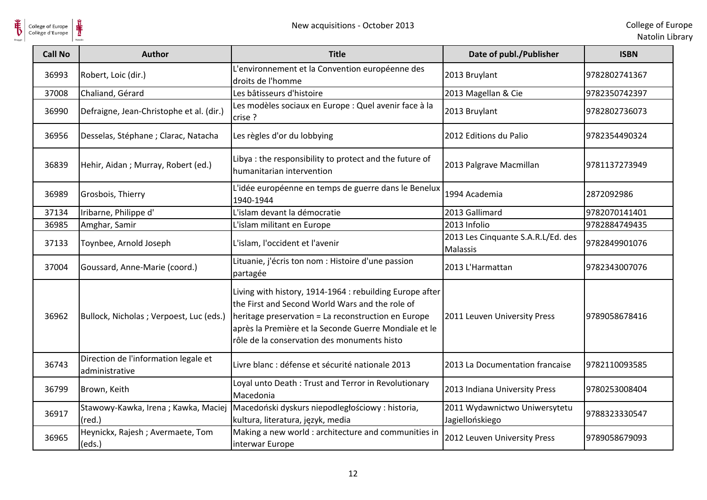

 $\frac{1}{\frac{1}{\sqrt{2}}}}$ 

| <b>Call No</b> | <b>Author</b>                                          | <b>Title</b>                                                                                                                                                                                                                                                               | Date of publ./Publisher                          | <b>ISBN</b>   |
|----------------|--------------------------------------------------------|----------------------------------------------------------------------------------------------------------------------------------------------------------------------------------------------------------------------------------------------------------------------------|--------------------------------------------------|---------------|
| 36993          | Robert, Loic (dir.)                                    | L'environnement et la Convention européenne des<br>droits de l'homme                                                                                                                                                                                                       | 2013 Bruylant                                    | 9782802741367 |
| 37008          | Chaliand, Gérard                                       | Les bâtisseurs d'histoire                                                                                                                                                                                                                                                  | 2013 Magellan & Cie                              | 9782350742397 |
| 36990          | Defraigne, Jean-Christophe et al. (dir.)               | Les modèles sociaux en Europe : Quel avenir face à la<br>crise ?                                                                                                                                                                                                           | 2013 Bruylant                                    | 9782802736073 |
| 36956          | Desselas, Stéphane ; Clarac, Natacha                   | Les règles d'or du lobbying                                                                                                                                                                                                                                                | 2012 Editions du Palio                           | 9782354490324 |
| 36839          | Hehir, Aidan; Murray, Robert (ed.)                     | Libya : the responsibility to protect and the future of<br>humanitarian intervention                                                                                                                                                                                       | 2013 Palgrave Macmillan                          | 9781137273949 |
| 36989          | Grosbois, Thierry                                      | L'idée européenne en temps de guerre dans le Benelux<br>1940-1944                                                                                                                                                                                                          | 1994 Academia                                    | 2872092986    |
| 37134          | Iribarne, Philippe d'                                  | L'islam devant la démocratie                                                                                                                                                                                                                                               | 2013 Gallimard                                   | 9782070141401 |
| 36985          | Amghar, Samir                                          | L'islam militant en Europe                                                                                                                                                                                                                                                 | 2013 Infolio                                     | 9782884749435 |
| 37133          | Toynbee, Arnold Joseph                                 | L'islam, l'occident et l'avenir                                                                                                                                                                                                                                            | 2013 Les Cinquante S.A.R.L/Ed. des<br>Malassis   | 9782849901076 |
| 37004          | Goussard, Anne-Marie (coord.)                          | Lituanie, j'écris ton nom : Histoire d'une passion<br>partagée                                                                                                                                                                                                             | 2013 L'Harmattan                                 | 9782343007076 |
| 36962          | Bullock, Nicholas ; Verpoest, Luc (eds.)               | Living with history, 1914-1964 : rebuilding Europe after<br>the First and Second World Wars and the role of<br>heritage preservation = La reconstruction en Europe<br>après la Première et la Seconde Guerre Mondiale et le<br>rôle de la conservation des monuments histo | 2011 Leuven University Press                     | 9789058678416 |
| 36743          | Direction de l'information legale et<br>administrative | Livre blanc : défense et sécurité nationale 2013                                                                                                                                                                                                                           | 2013 La Documentation francaise                  | 9782110093585 |
| 36799          | Brown, Keith                                           | Loyal unto Death: Trust and Terror in Revolutionary<br>Macedonia                                                                                                                                                                                                           | 2013 Indiana University Press                    | 9780253008404 |
| 36917          | Stawowy-Kawka, Irena; Kawka, Maciej<br>$(\text{red.})$ | Macedoński dyskurs niepodległościowy : historia,<br>kultura, literatura, język, media                                                                                                                                                                                      | 2011 Wydawnictwo Uniwersytetu<br>Jagiellońskiego | 9788323330547 |
| 36965          | Heynickx, Rajesh; Avermaete, Tom<br>(eds.)             | Making a new world : architecture and communities in<br>interwar Europe                                                                                                                                                                                                    | 2012 Leuven University Press                     | 9789058679093 |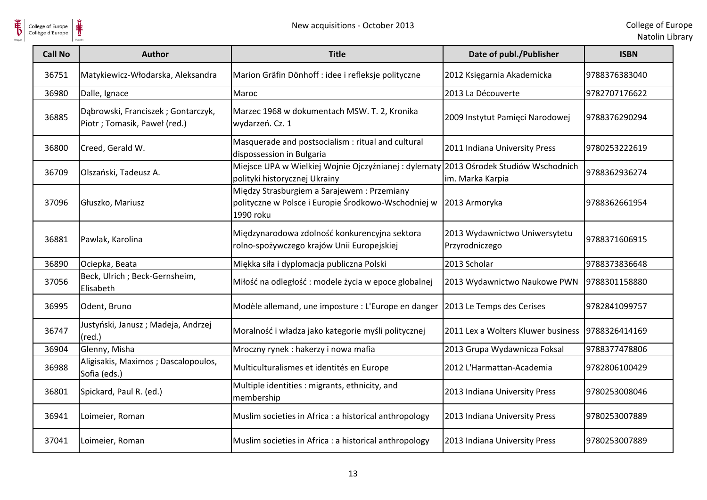

| <b>Call No</b> | <b>Author</b>                                                       | <b>Title</b>                                                                                                    | Date of publ./Publisher                             | <b>ISBN</b>   |
|----------------|---------------------------------------------------------------------|-----------------------------------------------------------------------------------------------------------------|-----------------------------------------------------|---------------|
| 36751          | Matykiewicz-Włodarska, Aleksandra                                   | Marion Gräfin Dönhoff : idee i refleksje polityczne                                                             | 2012 Księgarnia Akademicka                          | 9788376383040 |
| 36980          | Dalle, Ignace                                                       | Maroc                                                                                                           | 2013 La Découverte                                  | 9782707176622 |
| 36885          | Dąbrowski, Franciszek; Gontarczyk,<br>Piotr ; Tomasik, Paweł (red.) | Marzec 1968 w dokumentach MSW. T. 2, Kronika<br>wydarzeń. Cz. 1                                                 | 2009 Instytut Pamięci Narodowej                     | 9788376290294 |
| 36800          | Creed, Gerald W.                                                    | Masquerade and postsocialism : ritual and cultural<br>dispossession in Bulgaria                                 | 2011 Indiana University Press                       | 9780253222619 |
| 36709          | Olszański, Tadeusz A.                                               | Miejsce UPA w Wielkiej Wojnie Ojczyźnianej: dylematy<br>polityki historycznej Ukrainy                           | 2013 Ośrodek Studiów Wschodnich<br>im. Marka Karpia | 9788362936274 |
| 37096          | Głuszko, Mariusz                                                    | Między Strasburgiem a Sarajewem : Przemiany<br>polityczne w Polsce i Europie Środkowo-Wschodniej w<br>1990 roku | 2013 Armoryka                                       | 9788362661954 |
| 36881          | Pawlak, Karolina                                                    | Międzynarodowa zdolność konkurencyjna sektora<br>rolno-spożywczego krajów Unii Europejskiej                     | 2013 Wydawnictwo Uniwersytetu<br>Przyrodniczego     | 9788371606915 |
| 36890          | Ociepka, Beata                                                      | Miękka siła i dyplomacja publiczna Polski                                                                       | 2013 Scholar                                        | 9788373836648 |
| 37056          | Beck, Ulrich ; Beck-Gernsheim,<br>Elisabeth                         | Miłość na odległość: modele życia w epoce globalnej                                                             | 2013 Wydawnictwo Naukowe PWN                        | 9788301158880 |
| 36995          | Odent, Bruno                                                        | Modèle allemand, une imposture : L'Europe en danger                                                             | 2013 Le Temps des Cerises                           | 9782841099757 |
| 36747          | Justyński, Janusz; Madeja, Andrzej<br>$(\text{red.})$               | Moralność i władza jako kategorie myśli politycznej                                                             | 2011 Lex a Wolters Kluwer business                  | 9788326414169 |
| 36904          | Glenny, Misha                                                       | Mroczny rynek : hakerzy i nowa mafia                                                                            | 2013 Grupa Wydawnicza Foksal                        | 9788377478806 |
| 36988          | Aligisakis, Maximos ; Dascalopoulos,<br>Sofia (eds.)                | Multiculturalismes et identités en Europe                                                                       | 2012 L'Harmattan-Academia                           | 9782806100429 |
| 36801          | Spickard, Paul R. (ed.)                                             | Multiple identities : migrants, ethnicity, and<br>membership                                                    | 2013 Indiana University Press                       | 9780253008046 |
| 36941          | Loimeier, Roman                                                     | Muslim societies in Africa : a historical anthropology                                                          | 2013 Indiana University Press                       | 9780253007889 |
| 37041          | Loimeier, Roman                                                     | Muslim societies in Africa : a historical anthropology                                                          | 2013 Indiana University Press                       | 9780253007889 |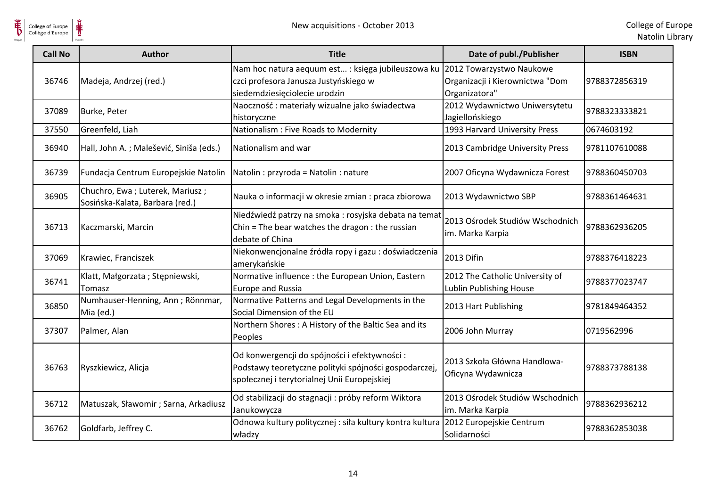

| <b>Call No</b> | <b>Author</b>                                                      | <b>Title</b>                                                                                                                                           | Date of publ./Publisher                                                      | <b>ISBN</b>   |
|----------------|--------------------------------------------------------------------|--------------------------------------------------------------------------------------------------------------------------------------------------------|------------------------------------------------------------------------------|---------------|
| 36746          | Madeja, Andrzej (red.)                                             | Nam hoc natura aequum est : księga jubileuszowa ku<br>czci profesora Janusza Justyńskiego w<br>siedemdziesięciolecie urodzin                           | 2012 Towarzystwo Naukowe<br>Organizacji i Kierownictwa "Dom<br>Organizatora" | 9788372856319 |
| 37089          | Burke, Peter                                                       | Naoczność: materiały wizualne jako świadectwa<br>historyczne                                                                                           | 2012 Wydawnictwo Uniwersytetu<br>Jagiellońskiego                             | 9788323333821 |
| 37550          | Greenfeld, Liah                                                    | Nationalism : Five Roads to Modernity                                                                                                                  | 1993 Harvard University Press                                                | 0674603192    |
| 36940          | Hall, John A.; Malešević, Siniša (eds.)                            | Nationalism and war                                                                                                                                    | 2013 Cambridge University Press                                              | 9781107610088 |
| 36739          | Fundacja Centrum Europejskie Natolin                               | Natolin : przyroda = Natolin : nature                                                                                                                  | 2007 Oficyna Wydawnicza Forest                                               | 9788360450703 |
| 36905          | Chuchro, Ewa; Luterek, Mariusz;<br>Sosińska-Kalata, Barbara (red.) | Nauka o informacji w okresie zmian : praca zbiorowa                                                                                                    | 2013 Wydawnictwo SBP                                                         | 9788361464631 |
| 36713          | Kaczmarski, Marcin                                                 | Niedźwiedź patrzy na smoka : rosyjska debata na temat<br>Chin = The bear watches the dragon : the russian<br>debate of China                           | 2013 Ośrodek Studiów Wschodnich<br>im. Marka Karpia                          | 9788362936205 |
| 37069          | Krawiec, Franciszek                                                | Niekonwencjonalne źródła ropy i gazu : doświadczenia<br>amerykańskie                                                                                   | 2013 Difin                                                                   | 9788376418223 |
| 36741          | Klatt, Małgorzata; Stępniewski,<br>Tomasz                          | Normative influence : the European Union, Eastern<br><b>Europe and Russia</b>                                                                          | 2012 The Catholic University of<br>Lublin Publishing House                   | 9788377023747 |
| 36850          | Numhauser-Henning, Ann; Rönnmar,<br>Mia (ed.)                      | Normative Patterns and Legal Developments in the<br>Social Dimension of the EU                                                                         | 2013 Hart Publishing                                                         | 9781849464352 |
| 37307          | Palmer, Alan                                                       | Northern Shores: A History of the Baltic Sea and its<br>Peoples                                                                                        | 2006 John Murray                                                             | 0719562996    |
| 36763          | Ryszkiewicz, Alicja                                                | Od konwergencji do spójności i efektywności :<br>Podstawy teoretyczne polityki spójności gospodarczej,<br>społecznej i terytorialnej Unii Europejskiej | 2013 Szkoła Główna Handlowa-<br>Oficyna Wydawnicza                           | 9788373788138 |
| 36712          | Matuszak, Sławomir; Sarna, Arkadiusz                               | Od stabilizacji do stagnacji : próby reform Wiktora<br>Janukowycza                                                                                     | 2013 Ośrodek Studiów Wschodnich<br>im. Marka Karpia                          | 9788362936212 |
| 36762          | Goldfarb, Jeffrey C.                                               | Odnowa kultury politycznej : siła kultury kontra kultura<br>władzy                                                                                     | 2012 Europejskie Centrum<br>Solidarności                                     | 9788362853038 |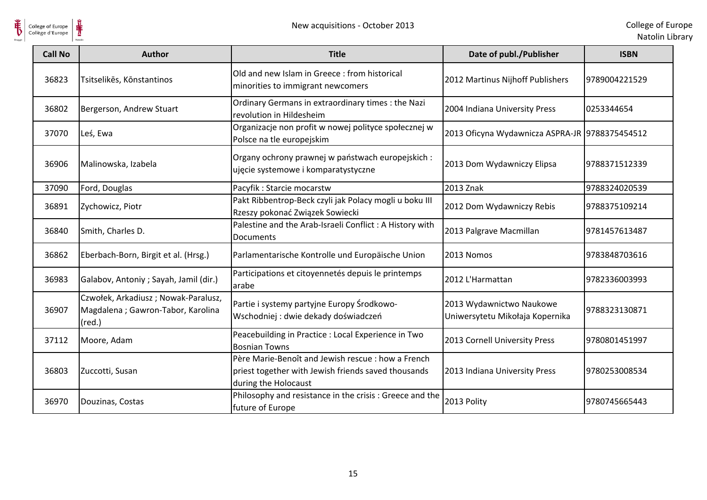

| <b>Call No</b> | <b>Author</b>                                                                                | <b>Title</b>                                                                                                                      | Date of publ./Publisher                                     | <b>ISBN</b>   |
|----------------|----------------------------------------------------------------------------------------------|-----------------------------------------------------------------------------------------------------------------------------------|-------------------------------------------------------------|---------------|
| 36823          | Tsitselikēs, Kōnstantinos                                                                    | Old and new Islam in Greece: from historical<br>minorities to immigrant newcomers                                                 | 2012 Martinus Nijhoff Publishers                            | 9789004221529 |
| 36802          | Bergerson, Andrew Stuart                                                                     | Ordinary Germans in extraordinary times : the Nazi<br>revolution in Hildesheim                                                    | 2004 Indiana University Press                               | 0253344654    |
| 37070          | Leś, Ewa                                                                                     | Organizacje non profit w nowej polityce społecznej w<br>Polsce na tle europejskim                                                 | 2013 Oficyna Wydawnicza ASPRA-JR 9788375454512              |               |
| 36906          | Malinowska, Izabela                                                                          | Organy ochrony prawnej w państwach europejskich :<br>ujęcie systemowe i komparatystyczne                                          | 2013 Dom Wydawniczy Elipsa                                  | 9788371512339 |
| 37090          | Ford, Douglas                                                                                | Pacyfik: Starcie mocarstw                                                                                                         | 2013 Znak                                                   | 9788324020539 |
| 36891          | Zychowicz, Piotr                                                                             | Pakt Ribbentrop-Beck czyli jak Polacy mogli u boku III<br>Rzeszy pokonać Związek Sowiecki                                         | 2012 Dom Wydawniczy Rebis                                   | 9788375109214 |
| 36840          | Smith, Charles D.                                                                            | Palestine and the Arab-Israeli Conflict: A History with<br><b>Documents</b>                                                       | 2013 Palgrave Macmillan                                     | 9781457613487 |
| 36862          | Eberbach-Born, Birgit et al. (Hrsg.)                                                         | Parlamentarische Kontrolle und Europäische Union                                                                                  | 2013 Nomos                                                  | 9783848703616 |
| 36983          | Galabov, Antoniy ; Sayah, Jamil (dir.)                                                       | Participations et citoyennetés depuis le printemps<br>arabe                                                                       | 2012 L'Harmattan                                            | 9782336003993 |
| 36907          | Czwołek, Arkadiusz; Nowak-Paralusz,<br>Magdalena ; Gawron-Tabor, Karolina<br>$(\text{red.})$ | Partie i systemy partyjne Europy Środkowo-<br>Wschodniej : dwie dekady doświadczeń                                                | 2013 Wydawnictwo Naukowe<br>Uniwersytetu Mikołaja Kopernika | 9788323130871 |
| 37112          | Moore, Adam                                                                                  | Peacebuilding in Practice : Local Experience in Two<br><b>Bosnian Towns</b>                                                       | 2013 Cornell University Press                               | 9780801451997 |
| 36803          | Zuccotti, Susan                                                                              | Père Marie-Benoît and Jewish rescue : how a French<br>priest together with Jewish friends saved thousands<br>during the Holocaust | 2013 Indiana University Press                               | 9780253008534 |
| 36970          | Douzinas, Costas                                                                             | Philosophy and resistance in the crisis: Greece and the<br>future of Europe                                                       | 2013 Polity                                                 | 9780745665443 |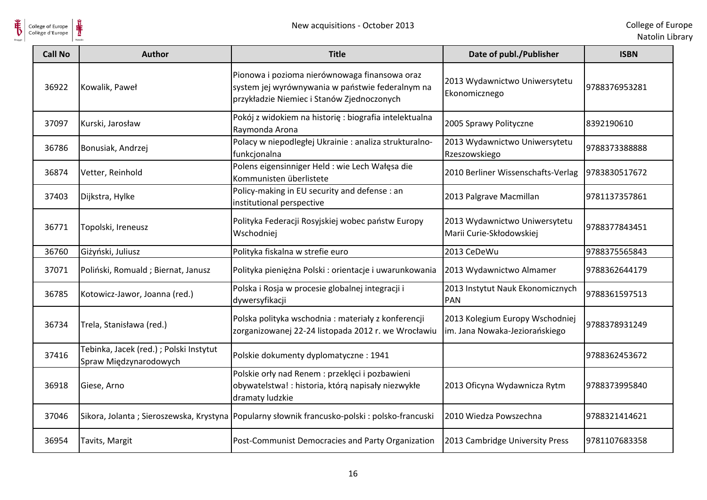$\frac{1}{\frac{1}{\sqrt{2}}}}$ 

| <b>Call No</b> | <b>Author</b>                                                     | <b>Title</b>                                                                                                                                    | Date of publ./Publisher                                           | <b>ISBN</b>   |
|----------------|-------------------------------------------------------------------|-------------------------------------------------------------------------------------------------------------------------------------------------|-------------------------------------------------------------------|---------------|
| 36922          | Kowalik, Paweł                                                    | Pionowa i pozioma nierównowaga finansowa oraz<br>system jej wyrównywania w państwie federalnym na<br>przykładzie Niemiec i Stanów Zjednoczonych | 2013 Wydawnictwo Uniwersytetu<br>Ekonomicznego                    | 9788376953281 |
| 37097          | Kurski, Jarosław                                                  | Pokój z widokiem na historię : biografia intelektualna<br>Raymonda Arona                                                                        | 2005 Sprawy Polityczne                                            | 8392190610    |
| 36786          | Bonusiak, Andrzej                                                 | Polacy w niepodległej Ukrainie : analiza strukturalno-<br>funkcjonalna                                                                          | 2013 Wydawnictwo Uniwersytetu<br>Rzeszowskiego                    | 9788373388888 |
| 36874          | Vetter, Reinhold                                                  | Polens eigensinniger Held : wie Lech Wałęsa die<br>Kommunisten überlistete                                                                      | 2010 Berliner Wissenschafts-Verlag                                | 9783830517672 |
| 37403          | Dijkstra, Hylke                                                   | Policy-making in EU security and defense : an<br>institutional perspective                                                                      | 2013 Palgrave Macmillan                                           | 9781137357861 |
| 36771          | Topolski, Ireneusz                                                | Polityka Federacji Rosyjskiej wobec państw Europy<br>Wschodniej                                                                                 | 2013 Wydawnictwo Uniwersytetu<br>Marii Curie-Skłodowskiej         | 9788377843451 |
| 36760          | Giżyński, Juliusz                                                 | Polityka fiskalna w strefie euro                                                                                                                | 2013 CeDeWu                                                       | 9788375565843 |
| 37071          | Poliński, Romuald ; Biernat, Janusz                               | Polityka pieniężna Polski : orientacje i uwarunkowania                                                                                          | 2013 Wydawnictwo Almamer                                          | 9788362644179 |
| 36785          | Kotowicz-Jawor, Joanna (red.)                                     | Polska i Rosja w procesie globalnej integracji i<br>dywersyfikacji                                                                              | 2013 Instytut Nauk Ekonomicznych<br>PAN                           | 9788361597513 |
| 36734          | Trela, Stanisława (red.)                                          | Polska polityka wschodnia: materiały z konferencji<br>zorganizowanej 22-24 listopada 2012 r. we Wrocławiu                                       | 2013 Kolegium Europy Wschodniej<br>im. Jana Nowaka-Jeziorańskiego | 9788378931249 |
| 37416          | Tebinka, Jacek (red.) ; Polski Instytut<br>Spraw Międzynarodowych | Polskie dokumenty dyplomatyczne: 1941                                                                                                           |                                                                   | 9788362453672 |
| 36918          | Giese, Arno                                                       | Polskie orły nad Renem : przeklęci i pozbawieni<br>obywatelstwa! : historia, którą napisały niezwykłe<br>dramaty ludzkie                        | 2013 Oficyna Wydawnicza Rytm                                      | 9788373995840 |
| 37046          |                                                                   | Sikora, Jolanta; Sieroszewska, Krystyna Popularny słownik francusko-polski: polsko-francuski                                                    | 2010 Wiedza Powszechna                                            | 9788321414621 |
| 36954          | Tavits, Margit                                                    | Post-Communist Democracies and Party Organization                                                                                               | 2013 Cambridge University Press                                   | 9781107683358 |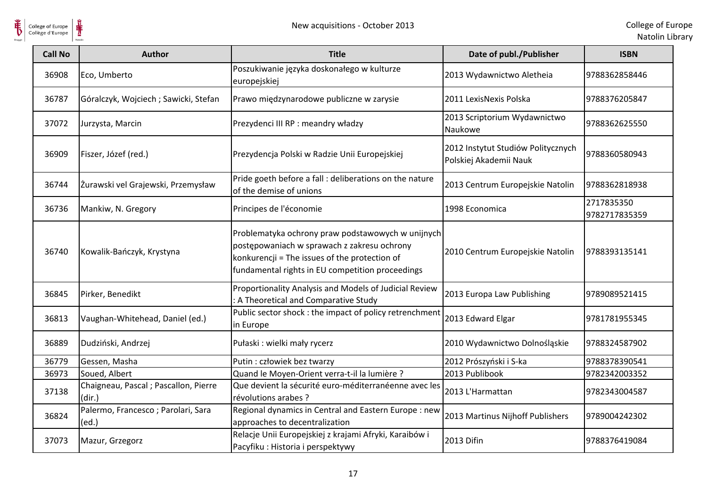

| <b>Call No</b> | <b>Author</b>                                   | <b>Title</b>                                                                                                                                                                                          | Date of publ./Publisher                                      | <b>ISBN</b>                 |
|----------------|-------------------------------------------------|-------------------------------------------------------------------------------------------------------------------------------------------------------------------------------------------------------|--------------------------------------------------------------|-----------------------------|
| 36908          | Eco, Umberto                                    | Poszukiwanie języka doskonałego w kulturze<br>europejskiej                                                                                                                                            | 2013 Wydawnictwo Aletheia                                    | 9788362858446               |
| 36787          | Góralczyk, Wojciech; Sawicki, Stefan            | Prawo międzynarodowe publiczne w zarysie                                                                                                                                                              | 2011 LexisNexis Polska                                       | 9788376205847               |
| 37072          | Jurzysta, Marcin                                | Prezydenci III RP : meandry władzy                                                                                                                                                                    | 2013 Scriptorium Wydawnictwo<br>Naukowe                      | 9788362625550               |
| 36909          | Fiszer, Józef (red.)                            | Prezydencja Polski w Radzie Unii Europejskiej                                                                                                                                                         | 2012 Instytut Studiów Politycznych<br>Polskiej Akademii Nauk | 9788360580943               |
| 36744          | Żurawski vel Grajewski, Przemysław              | Pride goeth before a fall : deliberations on the nature<br>of the demise of unions                                                                                                                    | 2013 Centrum Europejskie Natolin                             | 9788362818938               |
| 36736          | Mankiw, N. Gregory                              | Principes de l'économie                                                                                                                                                                               | 1998 Economica                                               | 2717835350<br>9782717835359 |
| 36740          | Kowalik-Bańczyk, Krystyna                       | Problematyka ochrony praw podstawowych w unijnych<br>postępowaniach w sprawach z zakresu ochrony<br>konkurencji = The issues of the protection of<br>fundamental rights in EU competition proceedings | 2010 Centrum Europejskie Natolin                             | 9788393135141               |
| 36845          | Pirker, Benedikt                                | Proportionality Analysis and Models of Judicial Review<br>: A Theoretical and Comparative Study                                                                                                       | 2013 Europa Law Publishing                                   | 9789089521415               |
| 36813          | Vaughan-Whitehead, Daniel (ed.)                 | Public sector shock : the impact of policy retrenchment<br>in Europe                                                                                                                                  | 2013 Edward Elgar                                            | 9781781955345               |
| 36889          | Dudziński, Andrzej                              | Pułaski : wielki mały rycerz                                                                                                                                                                          | 2010 Wydawnictwo Dolnośląskie                                | 9788324587902               |
| 36779          | Gessen, Masha                                   | Putin : człowiek bez twarzy                                                                                                                                                                           | 2012 Prószyński i S-ka                                       | 9788378390541               |
| 36973          | Soued, Albert                                   | Quand le Moyen-Orient verra-t-il la lumière ?                                                                                                                                                         | 2013 Publibook                                               | 9782342003352               |
| 37138          | Chaigneau, Pascal ; Pascallon, Pierre<br>(dir.) | Que devient la sécurité euro-méditerranéenne avec les<br>révolutions arabes ?                                                                                                                         | 2013 L'Harmattan                                             | 9782343004587               |
| 36824          | Palermo, Francesco; Parolari, Sara<br>(ed.)     | Regional dynamics in Central and Eastern Europe : new<br>approaches to decentralization                                                                                                               | 2013 Martinus Nijhoff Publishers                             | 9789004242302               |
| 37073          | Mazur, Grzegorz                                 | Relacje Unii Europejskiej z krajami Afryki, Karaibów i<br>Pacyfiku: Historia i perspektywy                                                                                                            | 2013 Difin                                                   | 9788376419084               |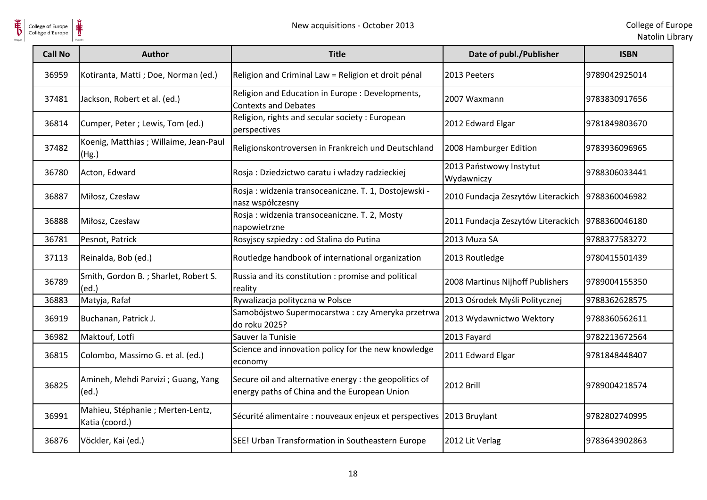

| <b>Call No</b> | <b>Author</b>                                       | <b>Title</b>                                                                                           | Date of publ./Publisher                            | <b>ISBN</b>   |
|----------------|-----------------------------------------------------|--------------------------------------------------------------------------------------------------------|----------------------------------------------------|---------------|
| 36959          | Kotiranta, Matti; Doe, Norman (ed.)                 | Religion and Criminal Law = Religion et droit pénal                                                    | 2013 Peeters                                       | 9789042925014 |
| 37481          | Jackson, Robert et al. (ed.)                        | Religion and Education in Europe : Developments,<br><b>Contexts and Debates</b>                        | 2007 Waxmann                                       | 9783830917656 |
| 36814          | Cumper, Peter ; Lewis, Tom (ed.)                    | Religion, rights and secular society : European<br>perspectives                                        | 2012 Edward Elgar                                  | 9781849803670 |
| 37482          | Koenig, Matthias ; Willaime, Jean-Paul<br>(Hg.)     | Religionskontroversen in Frankreich und Deutschland                                                    | 2008 Hamburger Edition                             | 9783936096965 |
| 36780          | Acton, Edward                                       | Rosja: Dziedzictwo caratu i władzy radzieckiej                                                         | 2013 Państwowy Instytut<br>Wydawniczy              | 9788306033441 |
| 36887          | Miłosz, Czesław                                     | Rosja: widzenia transoceaniczne. T. 1, Dostojewski -<br>nasz współczesny                               | 2010 Fundacja Zeszytów Literackich                 | 9788360046982 |
| 36888          | Miłosz, Czesław                                     | Rosja: widzenia transoceaniczne. T. 2, Mosty<br>napowietrzne                                           | 2011 Fundacja Zeszytów Literackich   9788360046180 |               |
| 36781          | Pesnot, Patrick                                     | Rosyjscy szpiedzy : od Stalina do Putina                                                               | 2013 Muza SA                                       | 9788377583272 |
| 37113          | Reinalda, Bob (ed.)                                 | Routledge handbook of international organization                                                       | 2013 Routledge                                     | 9780415501439 |
| 36789          | Smith, Gordon B.; Sharlet, Robert S.<br>(ed.)       | Russia and its constitution : promise and political<br>reality                                         | 2008 Martinus Nijhoff Publishers                   | 9789004155350 |
| 36883          | Matyja, Rafał                                       | Rywalizacja polityczna w Polsce                                                                        | 2013 Ośrodek Myśli Politycznej                     | 9788362628575 |
| 36919          | Buchanan, Patrick J.                                | Samobójstwo Supermocarstwa: czy Ameryka przetrwa<br>do roku 2025?                                      | 2013 Wydawnictwo Wektory                           | 9788360562611 |
| 36982          | Maktouf, Lotfi                                      | Sauver la Tunisie                                                                                      | 2013 Fayard                                        | 9782213672564 |
| 36815          | Colombo, Massimo G. et al. (ed.)                    | Science and innovation policy for the new knowledge<br>economy                                         | 2011 Edward Elgar                                  | 9781848448407 |
| 36825          | Amineh, Mehdi Parvizi ; Guang, Yang<br>(ed.)        | Secure oil and alternative energy : the geopolitics of<br>energy paths of China and the European Union | <b>2012 Brill</b>                                  | 9789004218574 |
| 36991          | Mahieu, Stéphanie ; Merten-Lentz,<br>Katia (coord.) | Sécurité alimentaire : nouveaux enjeux et perspectives                                                 | 2013 Bruylant                                      | 9782802740995 |
| 36876          | Vöckler, Kai (ed.)                                  | SEE! Urban Transformation in Southeastern Europe                                                       | 2012 Lit Verlag                                    | 9783643902863 |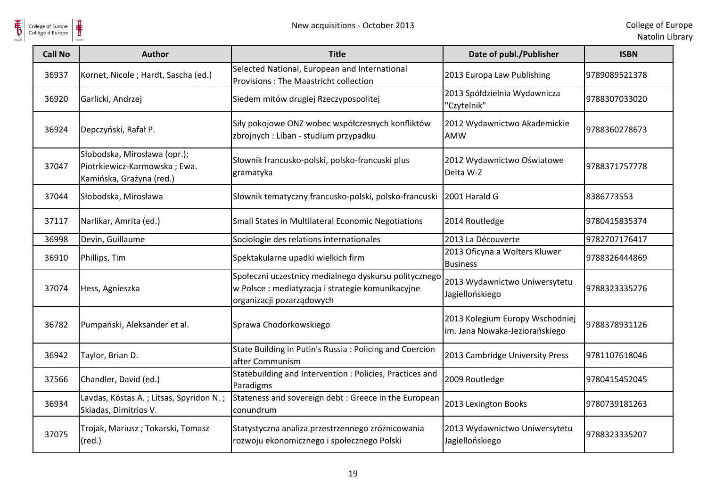

| <b>Call No</b> | <b>Author</b>                                                                            | <b>Title</b>                                                                                                                            | Date of publ./Publisher                                           | <b>ISBN</b>   |
|----------------|------------------------------------------------------------------------------------------|-----------------------------------------------------------------------------------------------------------------------------------------|-------------------------------------------------------------------|---------------|
| 36937          | Kornet, Nicole; Hardt, Sascha (ed.)                                                      | Selected National, European and International<br>Provisions: The Maastricht collection                                                  | 2013 Europa Law Publishing                                        | 9789089521378 |
| 36920          | Garlicki, Andrzej                                                                        | Siedem mitów drugiej Rzeczypospolitej                                                                                                   | 2013 Spółdzielnia Wydawnicza<br>'Czytelnik"                       | 9788307033020 |
| 36924          | Depczyński, Rafał P.                                                                     | Siły pokojowe ONZ wobec współczesnych konfliktów<br>zbrojnych : Liban - studium przypadku                                               | 2012 Wydawnictwo Akademickie<br><b>AMW</b>                        | 9788360278673 |
| 37047          | Słobodska, Mirosława (opr.);<br>Piotrkiewicz-Karmowska; Ewa.<br>Kamińska, Grażyna (red.) | Słownik francusko-polski, polsko-francuski plus<br>gramatyka                                                                            | 2012 Wydawnictwo Oświatowe<br>Delta W-Z                           | 9788371757778 |
| 37044          | Słobodska, Mirosława                                                                     | Słownik tematyczny francusko-polski, polsko-francuski                                                                                   | 2001 Harald G                                                     | 8386773553    |
| 37117          | Narlikar, Amrita (ed.)                                                                   | Small States in Multilateral Economic Negotiations                                                                                      | 2014 Routledge                                                    | 9780415835374 |
| 36998          | Devin, Guillaume                                                                         | Sociologie des relations internationales                                                                                                | 2013 La Découverte                                                | 9782707176417 |
| 36910          | Phillips, Tim                                                                            | Spektakularne upadki wielkich firm                                                                                                      | 2013 Oficyna a Wolters Kluwer<br><b>Business</b>                  | 9788326444869 |
| 37074          | Hess, Agnieszka                                                                          | Społeczni uczestnicy medialnego dyskursu politycznego<br>w Polsce : mediatyzacja i strategie komunikacyjne<br>organizacji pozarządowych | 2013 Wydawnictwo Uniwersytetu<br>Jagiellońskiego                  | 9788323335276 |
| 36782          | Pumpański, Aleksander et al.                                                             | Sprawa Chodorkowskiego                                                                                                                  | 2013 Kolegium Europy Wschodniej<br>im. Jana Nowaka-Jeziorańskiego | 9788378931126 |
| 36942          | Taylor, Brian D.                                                                         | State Building in Putin's Russia: Policing and Coercion<br>after Communism                                                              | 2013 Cambridge University Press                                   | 9781107618046 |
| 37566          | Chandler, David (ed.)                                                                    | Statebuilding and Intervention : Policies, Practices and<br>Paradigms                                                                   | 2009 Routledge                                                    | 9780415452045 |
| 36934          | Lavdas, Kōstas A.; Litsas, Spyridon N.;<br>Skiadas, Dimitrios V.                         | Stateness and sovereign debt : Greece in the European<br>conundrum                                                                      | 2013 Lexington Books                                              | 9780739181263 |
| 37075          | Trojak, Mariusz; Tokarski, Tomasz<br>$(\text{red.})$                                     | Statystyczna analiza przestrzennego zróżnicowania<br>rozwoju ekonomicznego i społecznego Polski                                         | 2013 Wydawnictwo Uniwersytetu<br>Jagiellońskiego                  | 9788323335207 |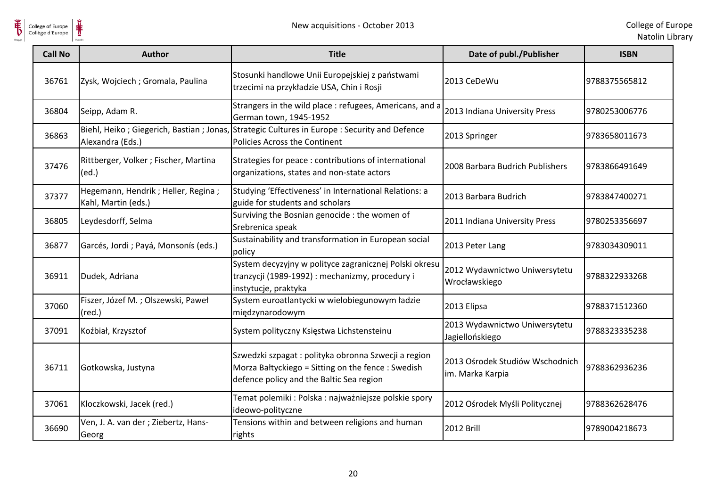

| <b>Call No</b> | <b>Author</b>                                               | <b>Title</b>                                                                                                                                          | Date of publ./Publisher                             | <b>ISBN</b>    |
|----------------|-------------------------------------------------------------|-------------------------------------------------------------------------------------------------------------------------------------------------------|-----------------------------------------------------|----------------|
| 36761          | Zysk, Wojciech; Gromala, Paulina                            | Stosunki handlowe Unii Europejskiej z państwami<br>trzecimi na przykładzie USA, Chin i Rosji                                                          | 2013 CeDeWu                                         | 9788375565812  |
| 36804          | Seipp, Adam R.                                              | Strangers in the wild place : refugees, Americans, and a<br>German town, 1945-1952                                                                    | 2013 Indiana University Press                       | 9780253006776  |
| 36863          | Alexandra (Eds.)                                            | Biehl, Heiko; Giegerich, Bastian; Jonas, Strategic Cultures in Europe: Security and Defence<br>Policies Across the Continent                          | 2013 Springer                                       | 9783658011673  |
| 37476          | Rittberger, Volker ; Fischer, Martina<br>(ed.)              | Strategies for peace : contributions of international<br>organizations, states and non-state actors                                                   | 2008 Barbara Budrich Publishers                     | 19783866491649 |
| 37377          | Hegemann, Hendrik ; Heller, Regina ;<br>Kahl, Martin (eds.) | Studying 'Effectiveness' in International Relations: a<br>guide for students and scholars                                                             | 2013 Barbara Budrich                                | 9783847400271  |
| 36805          | Leydesdorff, Selma                                          | Surviving the Bosnian genocide : the women of<br>Srebrenica speak                                                                                     | 2011 Indiana University Press                       | 9780253356697  |
| 36877          | Garcés, Jordi; Payá, Monsonís (eds.)                        | Sustainability and transformation in European social<br>policy                                                                                        | 2013 Peter Lang                                     | 9783034309011  |
| 36911          | Dudek, Adriana                                              | System decyzyjny w polityce zagranicznej Polski okresu<br>tranzycji (1989-1992) : mechanizmy, procedury i<br>instytucje, praktyka                     | 2012 Wydawnictwo Uniwersytetu<br>Wrocławskiego      | 9788322933268  |
| 37060          | Fiszer, Józef M.; Olszewski, Paweł<br>$(\text{red.})$       | System euroatlantycki w wielobiegunowym ładzie<br>międzynarodowym                                                                                     | 2013 Elipsa                                         | 9788371512360  |
| 37091          | Koźbiał, Krzysztof                                          | System polityczny Księstwa Lichstensteinu                                                                                                             | 2013 Wydawnictwo Uniwersytetu<br>Jagiellońskiego    | 9788323335238  |
| 36711          | Gotkowska, Justyna                                          | Szwedzki szpagat: polityka obronna Szwecji a region<br>Morza Bałtyckiego = Sitting on the fence : Swedish<br>defence policy and the Baltic Sea region | 2013 Ośrodek Studiów Wschodnich<br>im. Marka Karpia | 9788362936236  |
| 37061          | Kloczkowski, Jacek (red.)                                   | Temat polemiki : Polska : najważniejsze polskie spory<br>ideowo-polityczne                                                                            | 2012 Ośrodek Myśli Politycznej                      | 9788362628476  |
| 36690          | Ven, J. A. van der ; Ziebertz, Hans-<br>Georg               | Tensions within and between religions and human<br>rights                                                                                             | <b>2012 Brill</b>                                   | 9789004218673  |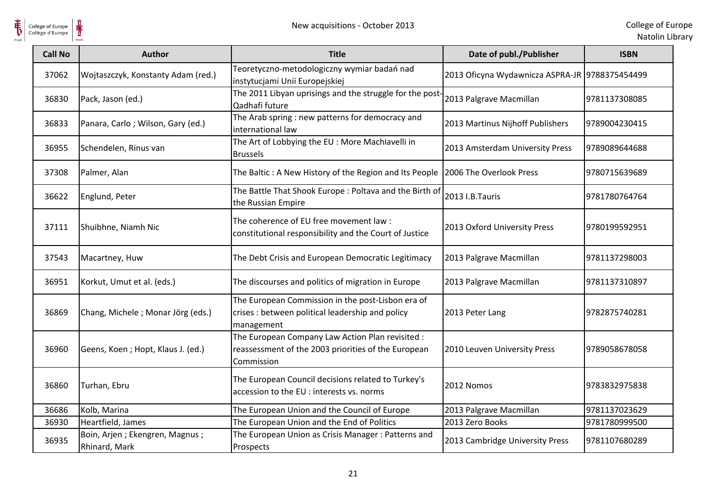

| <b>Call No</b> | <b>Author</b>                                   | <b>Title</b>                                                                                                          | Date of publ./Publisher                        | <b>ISBN</b>   |
|----------------|-------------------------------------------------|-----------------------------------------------------------------------------------------------------------------------|------------------------------------------------|---------------|
| 37062          | Wojtaszczyk, Konstanty Adam (red.)              | Teoretyczno-metodologiczny wymiar badań nad<br>instytucjami Unii Europejskiej                                         | 2013 Oficyna Wydawnicza ASPRA-JR 9788375454499 |               |
| 36830          | Pack, Jason (ed.)                               | The 2011 Libyan uprisings and the struggle for the post-<br>Qadhafi future                                            | 2013 Palgrave Macmillan                        | 9781137308085 |
| 36833          | Panara, Carlo; Wilson, Gary (ed.)               | The Arab spring : new patterns for democracy and<br>international law                                                 | 2013 Martinus Nijhoff Publishers               | 9789004230415 |
| 36955          | Schendelen, Rinus van                           | The Art of Lobbying the EU : More Machiavelli in<br><b>Brussels</b>                                                   | 2013 Amsterdam University Press                | 9789089644688 |
| 37308          | Palmer, Alan                                    | The Baltic : A New History of the Region and Its People   2006 The Overlook Press                                     |                                                | 9780715639689 |
| 36622          | Englund, Peter                                  | The Battle That Shook Europe: Poltava and the Birth of<br>the Russian Empire                                          | 2013 I.B.Tauris                                | 9781780764764 |
| 37111          | Shuibhne, Niamh Nic                             | The coherence of EU free movement law:<br>constitutional responsibility and the Court of Justice                      | 2013 Oxford University Press                   | 9780199592951 |
| 37543          | Macartney, Huw                                  | The Debt Crisis and European Democratic Legitimacy                                                                    | 2013 Palgrave Macmillan                        | 9781137298003 |
| 36951          | Korkut, Umut et al. (eds.)                      | The discourses and politics of migration in Europe                                                                    | 2013 Palgrave Macmillan                        | 9781137310897 |
| 36869          | Chang, Michele; Monar Jörg (eds.)               | The European Commission in the post-Lisbon era of<br>crises : between political leadership and policy<br>management   | 2013 Peter Lang                                | 9782875740281 |
| 36960          | Geens, Koen; Hopt, Klaus J. (ed.)               | The European Company Law Action Plan revisited :<br>reassessment of the 2003 priorities of the European<br>Commission | 2010 Leuven University Press                   | 9789058678058 |
| 36860          | Turhan, Ebru                                    | The European Council decisions related to Turkey's<br>accession to the EU : interests vs. norms                       | 2012 Nomos                                     | 9783832975838 |
| 36686          | Kolb, Marina                                    | The European Union and the Council of Europe                                                                          | 2013 Palgrave Macmillan                        | 9781137023629 |
| 36930          | Heartfield, James                               | The European Union and the End of Politics                                                                            | 2013 Zero Books                                | 9781780999500 |
| 36935          | Boin, Arjen; Ekengren, Magnus;<br>Rhinard, Mark | The European Union as Crisis Manager: Patterns and<br>Prospects                                                       | 2013 Cambridge University Press                | 9781107680289 |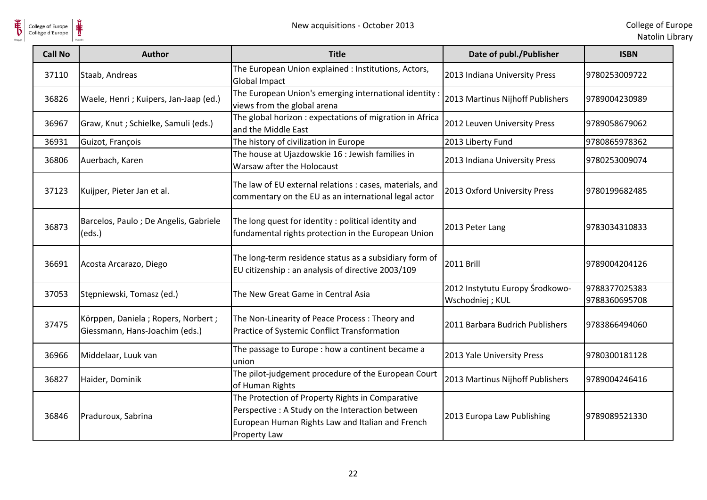

| <b>Call No</b> | <b>Author</b>                                                        | <b>Title</b>                                                                                                                | Date of publ./Publisher                            | <b>ISBN</b>                    |
|----------------|----------------------------------------------------------------------|-----------------------------------------------------------------------------------------------------------------------------|----------------------------------------------------|--------------------------------|
| 37110          | Staab, Andreas                                                       | The European Union explained : Institutions, Actors,<br><b>Global Impact</b>                                                | 2013 Indiana University Press                      | 9780253009722                  |
| 36826          | Waele, Henri ; Kuipers, Jan-Jaap (ed.)                               | The European Union's emerging international identity<br>views from the global arena                                         | 2013 Martinus Nijhoff Publishers                   | 9789004230989                  |
| 36967          | Graw, Knut ; Schielke, Samuli (eds.)                                 | The global horizon: expectations of migration in Africa<br>and the Middle East                                              | 2012 Leuven University Press                       | 9789058679062                  |
| 36931          | Guizot, François                                                     | The history of civilization in Europe                                                                                       | 2013 Liberty Fund                                  | 9780865978362                  |
| 36806          | Auerbach, Karen                                                      | The house at Ujazdowskie 16 : Jewish families in<br>Warsaw after the Holocaust                                              | 2013 Indiana University Press                      | 9780253009074                  |
| 37123          | Kuijper, Pieter Jan et al.                                           | The law of EU external relations : cases, materials, and<br>commentary on the EU as an international legal actor            | 2013 Oxford University Press                       | 9780199682485                  |
| 36873          | Barcelos, Paulo; De Angelis, Gabriele<br>(eds.)                      | The long quest for identity: political identity and<br>fundamental rights protection in the European Union                  | 2013 Peter Lang                                    | 9783034310833                  |
| 36691          | Acosta Arcarazo, Diego                                               | The long-term residence status as a subsidiary form of<br>EU citizenship : an analysis of directive 2003/109                | <b>2011 Brill</b>                                  | 9789004204126                  |
| 37053          | Stępniewski, Tomasz (ed.)                                            | The New Great Game in Central Asia                                                                                          | 2012 Instytutu Europy Środkowo-<br>Wschodniej; KUL | 9788377025383<br>9788360695708 |
| 37475          | Körppen, Daniela; Ropers, Norbert;<br>Giessmann, Hans-Joachim (eds.) | The Non-Linearity of Peace Process: Theory and<br>Practice of Systemic Conflict Transformation                              | 2011 Barbara Budrich Publishers                    | 9783866494060                  |
| 36966          | Middelaar, Luuk van                                                  | The passage to Europe : how a continent became a<br>union                                                                   | 2013 Yale University Press                         | 9780300181128                  |
| 36827          | Haider, Dominik                                                      | The pilot-judgement procedure of the European Court<br>of Human Rights                                                      | 2013 Martinus Nijhoff Publishers                   | 9789004246416                  |
|                |                                                                      | The Protection of Property Rights in Comparative                                                                            |                                                    |                                |
| 36846          | Praduroux, Sabrina                                                   | Perspective : A Study on the Interaction between<br>European Human Rights Law and Italian and French<br><b>Property Law</b> | 2013 Europa Law Publishing                         | 9789089521330                  |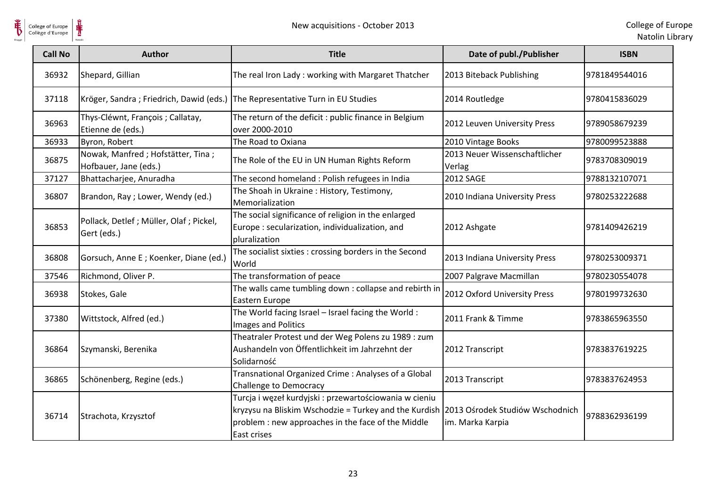

| <b>Call No</b> | <b>Author</b>                                                                 | <b>Title</b>                                                                                                                                                                                                         | Date of publ./Publisher                 | <b>ISBN</b>   |
|----------------|-------------------------------------------------------------------------------|----------------------------------------------------------------------------------------------------------------------------------------------------------------------------------------------------------------------|-----------------------------------------|---------------|
| 36932          | Shepard, Gillian                                                              | The real Iron Lady: working with Margaret Thatcher                                                                                                                                                                   | 2013 Biteback Publishing                | 9781849544016 |
| 37118          | Kröger, Sandra; Friedrich, Dawid (eds.) The Representative Turn in EU Studies |                                                                                                                                                                                                                      | 2014 Routledge                          | 9780415836029 |
| 36963          | Thys-Cléwnt, François ; Callatay,<br>Etienne de (eds.)                        | The return of the deficit : public finance in Belgium<br>over 2000-2010                                                                                                                                              | 2012 Leuven University Press            | 9789058679239 |
| 36933          | Byron, Robert                                                                 | The Road to Oxiana                                                                                                                                                                                                   | 2010 Vintage Books                      | 9780099523888 |
| 36875          | Nowak, Manfred ; Hofstätter, Tina ;<br>Hofbauer, Jane (eds.)                  | The Role of the EU in UN Human Rights Reform                                                                                                                                                                         | 2013 Neuer Wissenschaftlicher<br>Verlag | 9783708309019 |
| 37127          | Bhattacharjee, Anuradha                                                       | The second homeland : Polish refugees in India                                                                                                                                                                       | <b>2012 SAGE</b>                        | 9788132107071 |
| 36807          | Brandon, Ray ; Lower, Wendy (ed.)                                             | The Shoah in Ukraine: History, Testimony,<br>Memorialization                                                                                                                                                         | 2010 Indiana University Press           | 9780253222688 |
| 36853          | Pollack, Detlef; Müller, Olaf; Pickel,<br>Gert (eds.)                         | The social significance of religion in the enlarged<br>Europe: secularization, individualization, and<br>pluralization                                                                                               | 2012 Ashgate                            | 9781409426219 |
| 36808          | Gorsuch, Anne E; Koenker, Diane (ed.)                                         | The socialist sixties : crossing borders in the Second<br>World                                                                                                                                                      | 2013 Indiana University Press           | 9780253009371 |
| 37546          | Richmond, Oliver P.                                                           | The transformation of peace                                                                                                                                                                                          | 2007 Palgrave Macmillan                 | 9780230554078 |
| 36938          | Stokes, Gale                                                                  | The walls came tumbling down : collapse and rebirth in<br>Eastern Europe                                                                                                                                             | 2012 Oxford University Press            | 9780199732630 |
| 37380          | Wittstock, Alfred (ed.)                                                       | The World facing Israel - Israel facing the World:<br>Images and Politics                                                                                                                                            | 2011 Frank & Timme                      | 9783865963550 |
| 36864          | Szymanski, Berenika                                                           | Theatraler Protest und der Weg Polens zu 1989 : zum<br>Aushandeln von Öffentlichkeit im Jahrzehnt der<br>Solidarność                                                                                                 | 2012 Transcript                         | 9783837619225 |
| 36865          | Schönenberg, Regine (eds.)                                                    | Transnational Organized Crime: Analyses of a Global<br><b>Challenge to Democracy</b>                                                                                                                                 | 2013 Transcript                         | 9783837624953 |
| 36714          | Strachota, Krzysztof                                                          | Turcja i węzeł kurdyjski : przewartościowania w cieniu<br>kryzysu na Bliskim Wschodzie = Turkey and the Kurdish 2013 Ośrodek Studiów Wschodnich<br>problem : new approaches in the face of the Middle<br>East crises | im. Marka Karpia                        | 9788362936199 |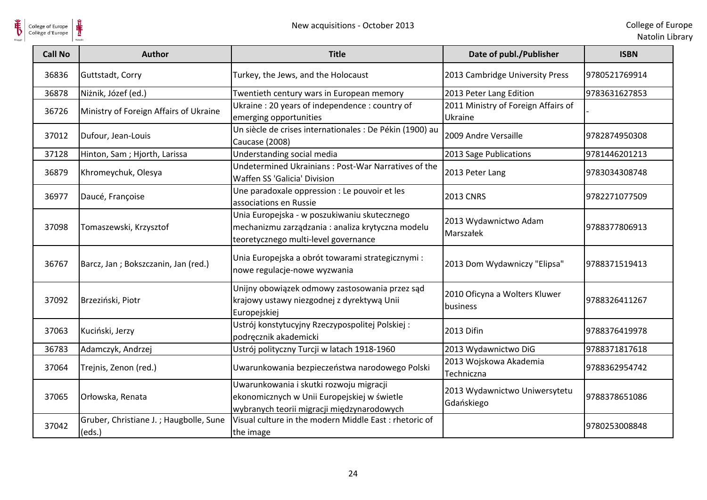

| <b>Call No</b> | <b>Author</b>                                    | <b>Title</b>                                                                                                                              | Date of publ./Publisher                        | <b>ISBN</b>   |
|----------------|--------------------------------------------------|-------------------------------------------------------------------------------------------------------------------------------------------|------------------------------------------------|---------------|
| 36836          | Guttstadt, Corry                                 | Turkey, the Jews, and the Holocaust                                                                                                       | 2013 Cambridge University Press                | 9780521769914 |
| 36878          | Niżnik, Józef (ed.)                              | Twentieth century wars in European memory                                                                                                 | 2013 Peter Lang Edition                        | 9783631627853 |
| 36726          | Ministry of Foreign Affairs of Ukraine           | Ukraine: 20 years of independence: country of<br>emerging opportunities                                                                   | 2011 Ministry of Foreign Affairs of<br>Ukraine |               |
| 37012          | Dufour, Jean-Louis                               | Un siècle de crises internationales : De Pékin (1900) au<br>Caucase (2008)                                                                | 2009 Andre Versaille                           | 9782874950308 |
| 37128          | Hinton, Sam; Hjorth, Larissa                     | Understanding social media                                                                                                                | 2013 Sage Publications                         | 9781446201213 |
| 36879          | Khromeychuk, Olesya                              | Undetermined Ukrainians: Post-War Narratives of the<br>Waffen SS 'Galicia' Division                                                       | 2013 Peter Lang                                | 9783034308748 |
| 36977          | Daucé, Françoise                                 | Une paradoxale oppression : Le pouvoir et les<br>associations en Russie                                                                   | <b>2013 CNRS</b>                               | 9782271077509 |
| 37098          | Tomaszewski, Krzysztof                           | Unia Europejska - w poszukiwaniu skutecznego<br>mechanizmu zarządzania : analiza krytyczna modelu<br>teoretycznego multi-level governance | 2013 Wydawnictwo Adam<br>Marszałek             | 9788377806913 |
| 36767          | Barcz, Jan; Bokszczanin, Jan (red.)              | Unia Europejska a obrót towarami strategicznymi :<br>nowe regulacje-nowe wyzwania                                                         | 2013 Dom Wydawniczy "Elipsa"                   | 9788371519413 |
| 37092          | Brzeziński, Piotr                                | Unijny obowiązek odmowy zastosowania przez sąd<br>krajowy ustawy niezgodnej z dyrektywą Unii<br>Europejskiej                              | 2010 Oficyna a Wolters Kluwer<br>business      | 9788326411267 |
| 37063          | Kuciński, Jerzy                                  | Ustrój konstytucyjny Rzeczypospolitej Polskiej:<br>podręcznik akademicki                                                                  | 2013 Difin                                     | 9788376419978 |
| 36783          | Adamczyk, Andrzej                                | Ustrój polityczny Turcji w latach 1918-1960                                                                                               | 2013 Wydawnictwo DiG                           | 9788371817618 |
| 37064          | Trejnis, Zenon (red.)                            | Uwarunkowania bezpieczeństwa narodowego Polski                                                                                            | 2013 Wojskowa Akademia<br>Techniczna           | 9788362954742 |
| 37065          | Orłowska, Renata                                 | Uwarunkowania i skutki rozwoju migracji<br>ekonomicznych w Unii Europejskiej w świetle<br>wybranych teorii migracji międzynarodowych      | 2013 Wydawnictwo Uniwersytetu<br>Gdańskiego    | 9788378651086 |
| 37042          | Gruber, Christiane J.; Haugbolle, Sune<br>(eds.) | Visual culture in the modern Middle East : rhetoric of<br>the image                                                                       |                                                | 9780253008848 |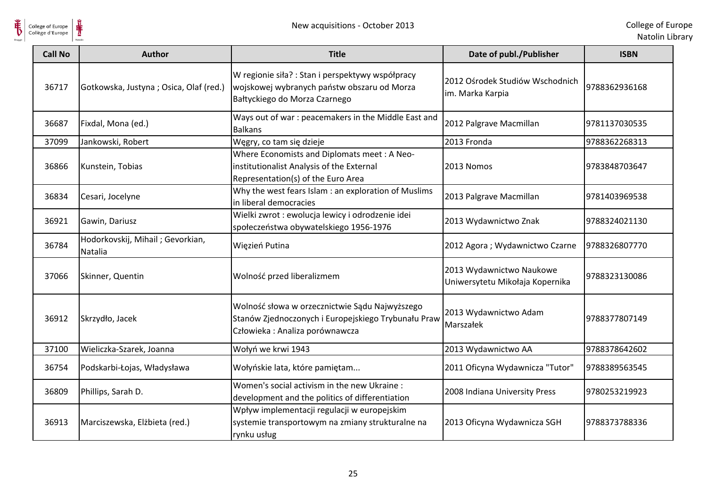

| <b>Call No</b> | <b>Author</b>                               | <b>Title</b>                                                                                                                            | Date of publ./Publisher                                     | <b>ISBN</b>   |
|----------------|---------------------------------------------|-----------------------------------------------------------------------------------------------------------------------------------------|-------------------------------------------------------------|---------------|
| 36717          | Gotkowska, Justyna; Osica, Olaf (red.)      | W regionie siła? : Stan i perspektywy współpracy<br>wojskowej wybranych państw obszaru od Morza<br>Bałtyckiego do Morza Czarnego        | 2012 Ośrodek Studiów Wschodnich<br>im. Marka Karpia         | 9788362936168 |
| 36687          | Fixdal, Mona (ed.)                          | Ways out of war : peacemakers in the Middle East and<br><b>Balkans</b>                                                                  | 2012 Palgrave Macmillan                                     | 9781137030535 |
| 37099          | Jankowski, Robert                           | Węgry, co tam się dzieje                                                                                                                | 2013 Fronda                                                 | 9788362268313 |
| 36866          | Kunstein, Tobias                            | Where Economists and Diplomats meet: A Neo-<br>institutionalist Analysis of the External<br>Representation(s) of the Euro Area          | 2013 Nomos                                                  | 9783848703647 |
| 36834          | Cesari, Jocelyne                            | Why the west fears Islam : an exploration of Muslims<br>in liberal democracies                                                          | 2013 Palgrave Macmillan                                     | 9781403969538 |
| 36921          | Gawin, Dariusz                              | Wielki zwrot : ewolucja lewicy i odrodzenie idei<br>społeczeństwa obywatelskiego 1956-1976                                              | 2013 Wydawnictwo Znak                                       | 9788324021130 |
| 36784          | Hodorkovskij, Mihail; Gevorkian,<br>Natalia | Więzień Putina                                                                                                                          | 2012 Agora ; Wydawnictwo Czarne                             | 9788326807770 |
| 37066          | Skinner, Quentin                            | Wolność przed liberalizmem                                                                                                              | 2013 Wydawnictwo Naukowe<br>Uniwersytetu Mikołaja Kopernika | 9788323130086 |
| 36912          | Skrzydło, Jacek                             | Wolność słowa w orzecznictwie Sądu Najwyższego<br>Stanów Zjednoczonych i Europejskiego Trybunału Praw<br>Człowieka: Analiza porównawcza | 2013 Wydawnictwo Adam<br>Marszałek                          | 9788377807149 |
| 37100          | Wieliczka-Szarek, Joanna                    | Wołyń we krwi 1943                                                                                                                      | 2013 Wydawnictwo AA                                         | 9788378642602 |
| 36754          | Podskarbi-Łojas, Władysława                 | Wołyńskie lata, które pamiętam                                                                                                          | 2011 Oficyna Wydawnicza "Tutor"                             | 9788389563545 |
| 36809          | Phillips, Sarah D.                          | Women's social activism in the new Ukraine:<br>development and the politics of differentiation                                          | 2008 Indiana University Press                               | 9780253219923 |
| 36913          | Marciszewska, Elżbieta (red.)               | Wpływ implementacji regulacji w europejskim<br>systemie transportowym na zmiany strukturalne na<br>rynku usług                          | 2013 Oficyna Wydawnicza SGH                                 | 9788373788336 |